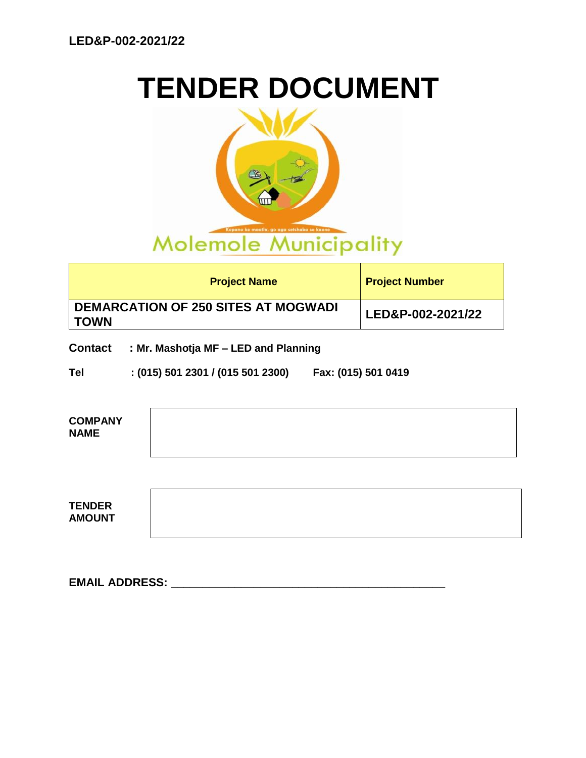# **TENDER DOCUMENT**



| <b>Project Name</b>                                       | <b>Project Number</b> |
|-----------------------------------------------------------|-----------------------|
| <b>DEMARCATION OF 250 SITES AT MOGWADI</b><br><b>TOWN</b> | LED&P-002-2021/22     |

**Contact : Mr. Mashotja MF – LED and Planning**

**Tel : (015) 501 2301 / (015 501 2300) Fax: (015) 501 0419**

| <b>COMPANY</b><br><b>NAME</b>  |  |
|--------------------------------|--|
|                                |  |
| <b>TENDER</b><br><b>AMOUNT</b> |  |

**EMAIL ADDRESS: \_\_\_\_\_\_\_\_\_\_\_\_\_\_\_\_\_\_\_\_\_\_\_\_\_\_\_\_\_\_\_\_\_\_\_\_\_\_\_\_\_\_\_**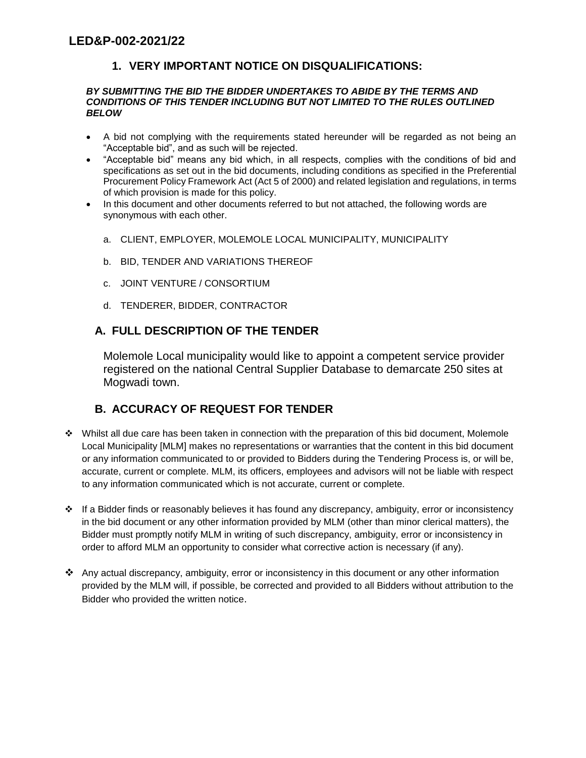# **1. VERY IMPORTANT NOTICE ON DISQUALIFICATIONS:**

#### *BY SUBMITTING THE BID THE BIDDER UNDERTAKES TO ABIDE BY THE TERMS AND CONDITIONS OF THIS TENDER INCLUDING BUT NOT LIMITED TO THE RULES OUTLINED BELOW*

- A bid not complying with the requirements stated hereunder will be regarded as not being an "Acceptable bid", and as such will be rejected.
- "Acceptable bid" means any bid which, in all respects, complies with the conditions of bid and specifications as set out in the bid documents, including conditions as specified in the Preferential Procurement Policy Framework Act (Act 5 of 2000) and related legislation and regulations, in terms of which provision is made for this policy.
- In this document and other documents referred to but not attached, the following words are synonymous with each other.
	- a. CLIENT, EMPLOYER, MOLEMOLE LOCAL MUNICIPALITY, MUNICIPALITY
	- b. BID, TENDER AND VARIATIONS THEREOF
	- c. JOINT VENTURE / CONSORTIUM
	- d. TENDERER, BIDDER, CONTRACTOR

## **A. FULL DESCRIPTION OF THE TENDER**

Molemole Local municipality would like to appoint a competent service provider registered on the national Central Supplier Database to demarcate 250 sites at Mogwadi town.

# **B. ACCURACY OF REQUEST FOR TENDER**

- Whilst all due care has been taken in connection with the preparation of this bid document, Molemole Local Municipality [MLM] makes no representations or warranties that the content in this bid document or any information communicated to or provided to Bidders during the Tendering Process is, or will be, accurate, current or complete. MLM, its officers, employees and advisors will not be liable with respect to any information communicated which is not accurate, current or complete.
- $\cdot \cdot$  If a Bidder finds or reasonably believes it has found any discrepancy, ambiguity, error or inconsistency in the bid document or any other information provided by MLM (other than minor clerical matters), the Bidder must promptly notify MLM in writing of such discrepancy, ambiguity, error or inconsistency in order to afford MLM an opportunity to consider what corrective action is necessary (if any).
- Any actual discrepancy, ambiguity, error or inconsistency in this document or any other information provided by the MLM will, if possible, be corrected and provided to all Bidders without attribution to the Bidder who provided the written notice.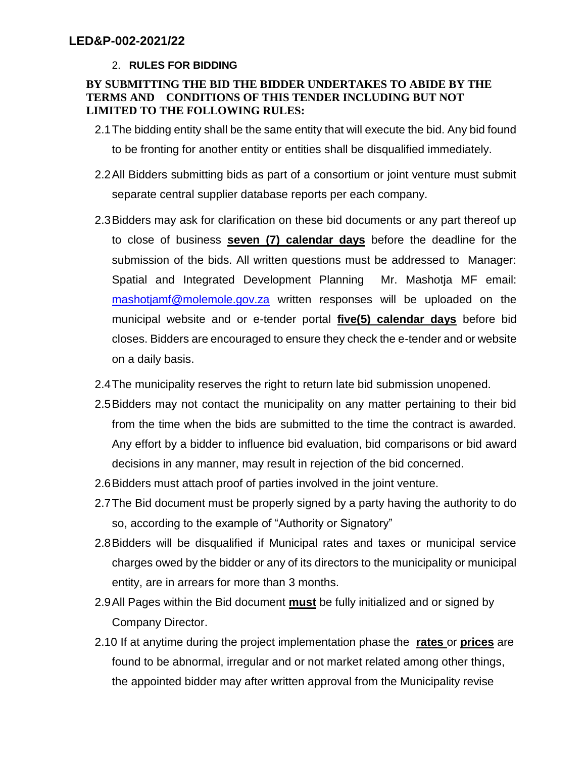# 2. **RULES FOR BIDDING**

## **BY SUBMITTING THE BID THE BIDDER UNDERTAKES TO ABIDE BY THE TERMS AND CONDITIONS OF THIS TENDER INCLUDING BUT NOT LIMITED TO THE FOLLOWING RULES:**

- 2.1The bidding entity shall be the same entity that will execute the bid. Any bid found to be fronting for another entity or entities shall be disqualified immediately.
- 2.2All Bidders submitting bids as part of a consortium or joint venture must submit separate central supplier database reports per each company.
- 2.3Bidders may ask for clarification on these bid documents or any part thereof up to close of business **seven (7) calendar days** before the deadline for the submission of the bids. All written questions must be addressed to Manager: Spatial and Integrated Development Planning Mr. Mashotja MF email: [mashotjamf@molemole.gov.za](mailto:mashotjamf@molemole.gov.za) written responses will be uploaded on the municipal website and or e-tender portal **five(5) calendar days** before bid closes. Bidders are encouraged to ensure they check the e-tender and or website on a daily basis.
- 2.4The municipality reserves the right to return late bid submission unopened.
- 2.5Bidders may not contact the municipality on any matter pertaining to their bid from the time when the bids are submitted to the time the contract is awarded. Any effort by a bidder to influence bid evaluation, bid comparisons or bid award decisions in any manner, may result in rejection of the bid concerned.
- 2.6Bidders must attach proof of parties involved in the joint venture.
- 2.7The Bid document must be properly signed by a party having the authority to do so, according to the example of "Authority or Signatory"
- 2.8Bidders will be disqualified if Municipal rates and taxes or municipal service charges owed by the bidder or any of its directors to the municipality or municipal entity, are in arrears for more than 3 months.
- 2.9All Pages within the Bid document **must** be fully initialized and or signed by Company Director.
- 2.10 If at anytime during the project implementation phase the **rates** or **prices** are found to be abnormal, irregular and or not market related among other things, the appointed bidder may after written approval from the Municipality revise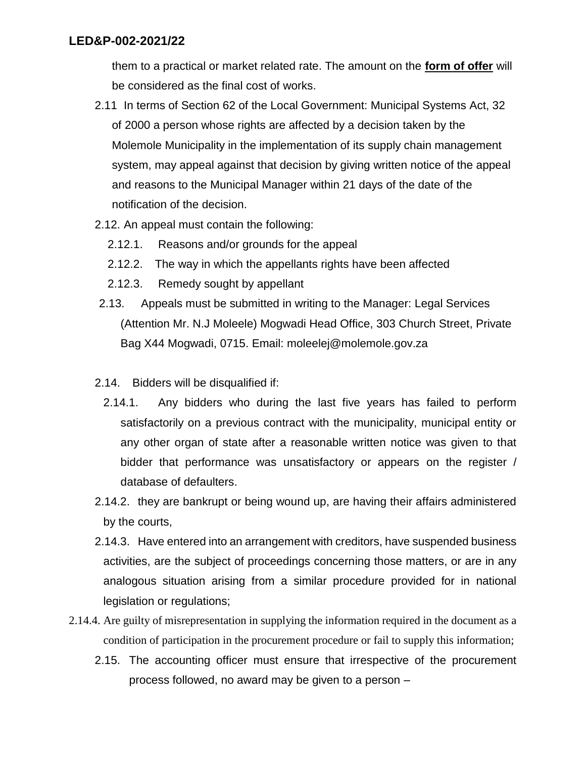them to a practical or market related rate. The amount on the **form of offer** will be considered as the final cost of works.

- 2.11 In terms of Section 62 of the Local Government: Municipal Systems Act, 32 of 2000 a person whose rights are affected by a decision taken by the Molemole Municipality in the implementation of its supply chain management system, may appeal against that decision by giving written notice of the appeal and reasons to the Municipal Manager within 21 days of the date of the notification of the decision.
- 2.12. An appeal must contain the following:
	- 2.12.1. Reasons and/or grounds for the appeal
	- 2.12.2. The way in which the appellants rights have been affected
	- 2.12.3. Remedy sought by appellant
- 2.13. Appeals must be submitted in writing to the Manager: Legal Services (Attention Mr. N.J Moleele) Mogwadi Head Office, 303 Church Street, Private Bag X44 Mogwadi, 0715. Email: moleelej@molemole.gov.za
- 2.14. Bidders will be disqualified if:
- 2.14.1. Any bidders who during the last five years has failed to perform satisfactorily on a previous contract with the municipality, municipal entity or any other organ of state after a reasonable written notice was given to that bidder that performance was unsatisfactory or appears on the register / database of defaulters.
- 2.14.2. they are bankrupt or being wound up, are having their affairs administered by the courts,
- 2.14.3. Have entered into an arrangement with creditors, have suspended business activities, are the subject of proceedings concerning those matters, or are in any analogous situation arising from a similar procedure provided for in national legislation or regulations;
- 2.14.4. Are guilty of misrepresentation in supplying the information required in the document as a condition of participation in the procurement procedure or fail to supply this information;
	- 2.15. The accounting officer must ensure that irrespective of the procurement process followed, no award may be given to a person –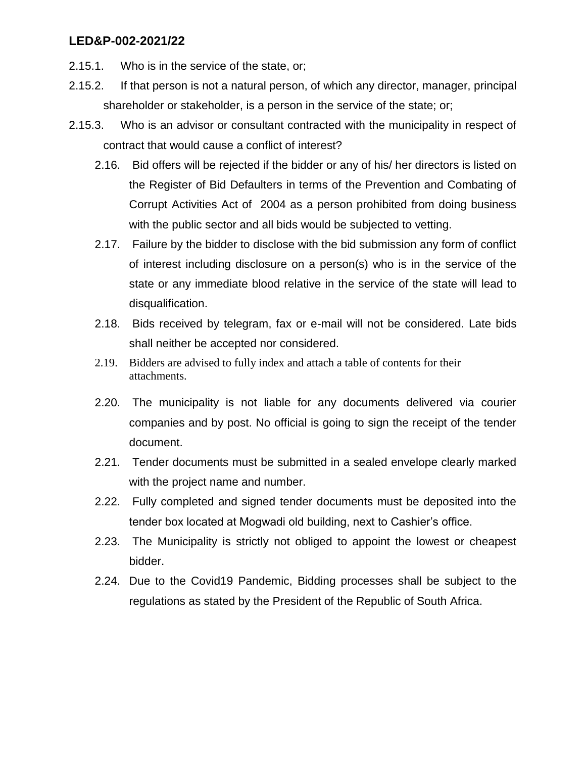- 2.15.1. Who is in the service of the state, or;
- 2.15.2. If that person is not a natural person, of which any director, manager, principal shareholder or stakeholder, is a person in the service of the state; or;
- 2.15.3. Who is an advisor or consultant contracted with the municipality in respect of contract that would cause a conflict of interest?
	- 2.16. Bid offers will be rejected if the bidder or any of his/ her directors is listed on the Register of Bid Defaulters in terms of the Prevention and Combating of Corrupt Activities Act of 2004 as a person prohibited from doing business with the public sector and all bids would be subjected to vetting.
	- 2.17. Failure by the bidder to disclose with the bid submission any form of conflict of interest including disclosure on a person(s) who is in the service of the state or any immediate blood relative in the service of the state will lead to disqualification.
	- 2.18. Bids received by telegram, fax or e-mail will not be considered. Late bids shall neither be accepted nor considered.
	- 2.19. Bidders are advised to fully index and attach a table of contents for their attachments.
	- 2.20. The municipality is not liable for any documents delivered via courier companies and by post. No official is going to sign the receipt of the tender document.
	- 2.21. Tender documents must be submitted in a sealed envelope clearly marked with the project name and number.
	- 2.22. Fully completed and signed tender documents must be deposited into the tender box located at Mogwadi old building, next to Cashier's office.
	- 2.23. The Municipality is strictly not obliged to appoint the lowest or cheapest bidder.
	- 2.24. Due to the Covid19 Pandemic, Bidding processes shall be subject to the regulations as stated by the President of the Republic of South Africa.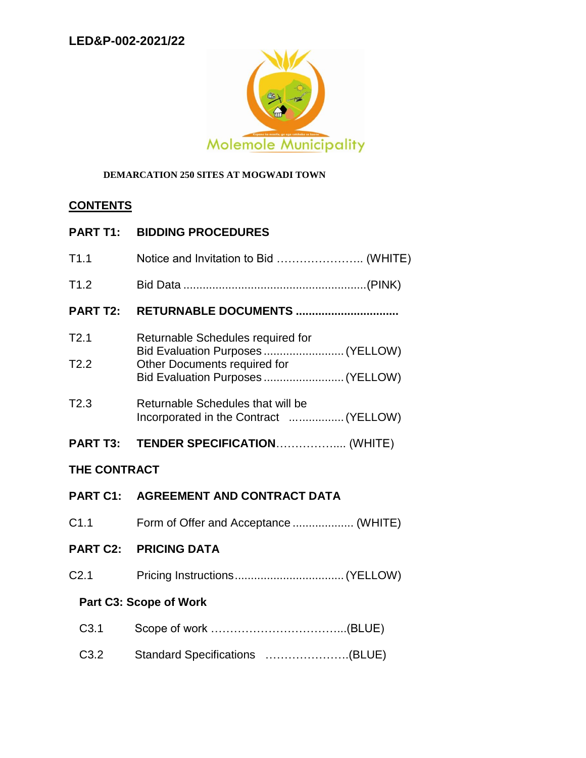

## **DEMARCATION 250 SITES AT MOGWADI TOWN**

# **CONTENTS**

|              | <b>PART T1: BIDDING PROCEDURES</b>                                                                                                          |
|--------------|---------------------------------------------------------------------------------------------------------------------------------------------|
| T1.1         | Notice and Invitation to Bid  (WHITE)                                                                                                       |
| T1.2         |                                                                                                                                             |
|              |                                                                                                                                             |
| T2.1<br>T2.2 | Returnable Schedules required for<br>Bid Evaluation Purposes  (YELLOW)<br>Other Documents required for<br>Bid Evaluation Purposes  (YELLOW) |
| T2.3         | Returnable Schedules that will be<br>Incorporated in the Contract  (YELLOW)                                                                 |
|              |                                                                                                                                             |
| THE AANTRAAT |                                                                                                                                             |

# **THE CONTRACT**

- **PART C1: AGREEMENT AND CONTRACT DATA**
- C1.1 Form of Offer and Acceptance ................... (WHITE)
- **PART C2: PRICING DATA**
- C2.1 Pricing Instructions..................................(YELLOW)

# **Part C3: Scope of Work**

| C3.2 Standard Specifications (BLUE) |  |
|-------------------------------------|--|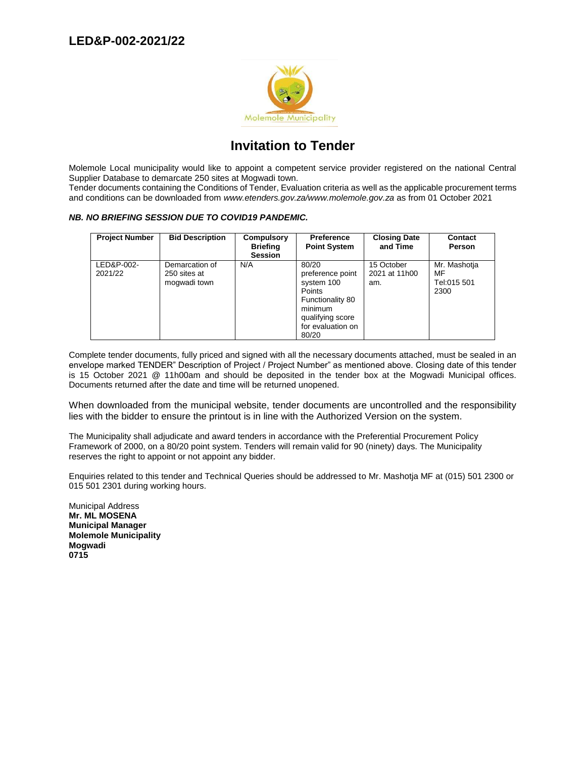

# **Invitation to Tender**

Molemole Local municipality would like to appoint a competent service provider registered on the national Central Supplier Database to demarcate 250 sites at Mogwadi town.

Tender documents containing the Conditions of Tender, Evaluation criteria as well as the applicable procurement terms and conditions can be downloaded from *www.etenders.gov.za/www.molemole.gov.za* as from 01 October 2021

#### *NB. NO BRIEFING SESSION DUE TO COVID19 PANDEMIC.*

| <b>Project Number</b> | <b>Bid Description</b>                         | Compulsory<br><b>Briefing</b><br><b>Session</b> | <b>Preference</b><br><b>Point System</b>                                                                                                  | <b>Closing Date</b><br>and Time    | <b>Contact</b><br>Person                  |
|-----------------------|------------------------------------------------|-------------------------------------------------|-------------------------------------------------------------------------------------------------------------------------------------------|------------------------------------|-------------------------------------------|
| LED&P-002-<br>2021/22 | Demarcation of<br>250 sites at<br>mogwadi town | N/A                                             | 80/20<br>preference point<br>system 100<br><b>Points</b><br>Functionality 80<br>minimum<br>qualifying score<br>for evaluation on<br>80/20 | 15 October<br>2021 at 11h00<br>am. | Mr. Mashotja<br>MF<br>Tel:015 501<br>2300 |

Complete tender documents, fully priced and signed with all the necessary documents attached, must be sealed in an envelope marked TENDER" Description of Project / Project Number" as mentioned above. Closing date of this tender is 15 October 2021 @ 11h00am and should be deposited in the tender box at the Mogwadi Municipal offices. Documents returned after the date and time will be returned unopened.

When downloaded from the municipal website, tender documents are uncontrolled and the responsibility lies with the bidder to ensure the printout is in line with the Authorized Version on the system.

The Municipality shall adjudicate and award tenders in accordance with the Preferential Procurement Policy Framework of 2000, on a 80/20 point system. Tenders will remain valid for 90 (ninety) days. The Municipality reserves the right to appoint or not appoint any bidder.

Enquiries related to this tender and Technical Queries should be addressed to Mr. Mashotja MF at (015) 501 2300 or 015 501 2301 during working hours.

Municipal Address **Mr. ML MOSENA Municipal Manager Molemole Municipality Mogwadi 0715**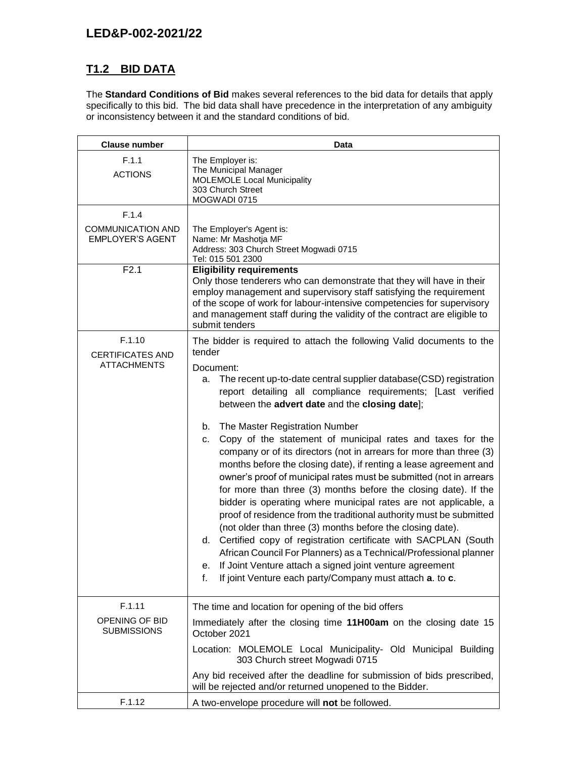# **T1.2 BID DATA**

The **Standard Conditions of Bid** makes several references to the bid data for details that apply specifically to this bid. The bid data shall have precedence in the interpretation of any ambiguity or inconsistency between it and the standard conditions of bid.

| <b>Clause number</b>                                         | Data                                                                                                                                                                                                                                                                                                                                                                                                                                                                                                                                                                                                                                                                                                                                                                                                                                                                                                                                                                                                                                                                                                                                                                          |  |  |
|--------------------------------------------------------------|-------------------------------------------------------------------------------------------------------------------------------------------------------------------------------------------------------------------------------------------------------------------------------------------------------------------------------------------------------------------------------------------------------------------------------------------------------------------------------------------------------------------------------------------------------------------------------------------------------------------------------------------------------------------------------------------------------------------------------------------------------------------------------------------------------------------------------------------------------------------------------------------------------------------------------------------------------------------------------------------------------------------------------------------------------------------------------------------------------------------------------------------------------------------------------|--|--|
| F.1.1<br><b>ACTIONS</b>                                      | The Employer is:<br>The Municipal Manager<br><b>MOLEMOLE Local Municipality</b><br>303 Church Street<br>MOGWADI 0715                                                                                                                                                                                                                                                                                                                                                                                                                                                                                                                                                                                                                                                                                                                                                                                                                                                                                                                                                                                                                                                          |  |  |
| F.1.4<br><b>COMMUNICATION AND</b><br><b>EMPLOYER'S AGENT</b> | The Employer's Agent is:<br>Name: Mr Mashotja MF<br>Address: 303 Church Street Mogwadi 0715<br>Tel: 015 501 2300                                                                                                                                                                                                                                                                                                                                                                                                                                                                                                                                                                                                                                                                                                                                                                                                                                                                                                                                                                                                                                                              |  |  |
| F2.1                                                         | <b>Eligibility requirements</b><br>Only those tenderers who can demonstrate that they will have in their<br>employ management and supervisory staff satisfying the requirement<br>of the scope of work for labour-intensive competencies for supervisory<br>and management staff during the validity of the contract are eligible to<br>submit tenders                                                                                                                                                                                                                                                                                                                                                                                                                                                                                                                                                                                                                                                                                                                                                                                                                        |  |  |
| F.1.10<br><b>CERTIFICATES AND</b><br><b>ATTACHMENTS</b>      | The bidder is required to attach the following Valid documents to the<br>tender<br>Document:<br>The recent up-to-date central supplier database(CSD) registration<br>а.<br>report detailing all compliance requirements; [Last verified<br>between the advert date and the closing date];<br>The Master Registration Number<br>b.<br>Copy of the statement of municipal rates and taxes for the<br>с.<br>company or of its directors (not in arrears for more than three (3)<br>months before the closing date), if renting a lease agreement and<br>owner's proof of municipal rates must be submitted (not in arrears<br>for more than three (3) months before the closing date). If the<br>bidder is operating where municipal rates are not applicable, a<br>proof of residence from the traditional authority must be submitted<br>(not older than three (3) months before the closing date).<br>d. Certified copy of registration certificate with SACPLAN (South<br>African Council For Planners) as a Technical/Professional planner<br>e. If Joint Venture attach a signed joint venture agreement<br>If joint Venture each party/Company must attach a. to c.<br>f. |  |  |
| F.1.11<br>OPENING OF BID<br><b>SUBMISSIONS</b>               | The time and location for opening of the bid offers<br>Immediately after the closing time 11H00am on the closing date 15<br>October 2021                                                                                                                                                                                                                                                                                                                                                                                                                                                                                                                                                                                                                                                                                                                                                                                                                                                                                                                                                                                                                                      |  |  |
|                                                              | Location: MOLEMOLE Local Municipality- Old Municipal Building<br>303 Church street Mogwadi 0715<br>Any bid received after the deadline for submission of bids prescribed,<br>will be rejected and/or returned unopened to the Bidder.                                                                                                                                                                                                                                                                                                                                                                                                                                                                                                                                                                                                                                                                                                                                                                                                                                                                                                                                         |  |  |
| F.1.12                                                       | A two-envelope procedure will not be followed.                                                                                                                                                                                                                                                                                                                                                                                                                                                                                                                                                                                                                                                                                                                                                                                                                                                                                                                                                                                                                                                                                                                                |  |  |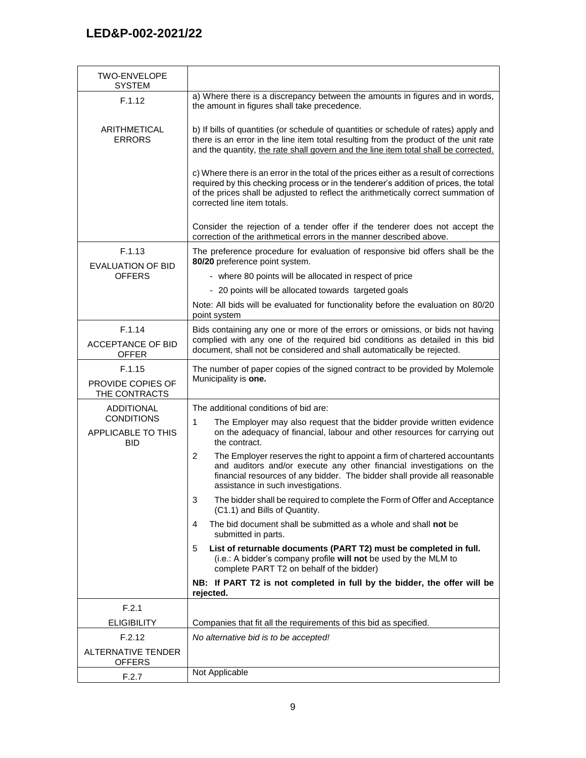| TWO-ENVELOPE<br><b>SYSTEM</b>                         |                                                                                                                                                                                                                                                                                                      |
|-------------------------------------------------------|------------------------------------------------------------------------------------------------------------------------------------------------------------------------------------------------------------------------------------------------------------------------------------------------------|
| F.1.12                                                | a) Where there is a discrepancy between the amounts in figures and in words,<br>the amount in figures shall take precedence.                                                                                                                                                                         |
| ARITHMETICAL<br><b>ERRORS</b>                         | b) If bills of quantities (or schedule of quantities or schedule of rates) apply and<br>there is an error in the line item total resulting from the product of the unit rate<br>and the quantity, the rate shall govern and the line item total shall be corrected.                                  |
|                                                       | c) Where there is an error in the total of the prices either as a result of corrections<br>required by this checking process or in the tenderer's addition of prices, the total<br>of the prices shall be adjusted to reflect the arithmetically correct summation of<br>corrected line item totals. |
|                                                       | Consider the rejection of a tender offer if the tenderer does not accept the<br>correction of the arithmetical errors in the manner described above.                                                                                                                                                 |
| F.1.13<br><b>EVALUATION OF BID</b>                    | The preference procedure for evaluation of responsive bid offers shall be the<br>80/20 preference point system.                                                                                                                                                                                      |
| <b>OFFERS</b>                                         | - where 80 points will be allocated in respect of price                                                                                                                                                                                                                                              |
|                                                       | - 20 points will be allocated towards targeted goals                                                                                                                                                                                                                                                 |
|                                                       | Note: All bids will be evaluated for functionality before the evaluation on 80/20<br>point system                                                                                                                                                                                                    |
| F.1.14<br><b>ACCEPTANCE OF BID</b><br><b>OFFER</b>    | Bids containing any one or more of the errors or omissions, or bids not having<br>complied with any one of the required bid conditions as detailed in this bid<br>document, shall not be considered and shall automatically be rejected.                                                             |
| F.1.15<br>PROVIDE COPIES OF<br>THE CONTRACTS          | The number of paper copies of the signed contract to be provided by Molemole<br>Municipality is one.                                                                                                                                                                                                 |
| <b>ADDITIONAL</b>                                     | The additional conditions of bid are:                                                                                                                                                                                                                                                                |
| <b>CONDITIONS</b><br><b>APPLICABLE TO THIS</b><br>BID | 1<br>The Employer may also request that the bidder provide written evidence<br>on the adequacy of financial, labour and other resources for carrying out<br>the contract.                                                                                                                            |
|                                                       | The Employer reserves the right to appoint a firm of chartered accountants<br>2<br>and auditors and/or execute any other financial investigations on the<br>financial resources of any bidder. The bidder shall provide all reasonable<br>assistance in such investigations.                         |
|                                                       | The bidder shall be required to complete the Form of Offer and Acceptance<br>3<br>(C1.1) and Bills of Quantity.                                                                                                                                                                                      |
|                                                       | The bid document shall be submitted as a whole and shall not be<br>4<br>submitted in parts.                                                                                                                                                                                                          |
|                                                       | List of returnable documents (PART T2) must be completed in full.<br>5<br>(i.e.: A bidder's company profile will not be used by the MLM to<br>complete PART T2 on behalf of the bidder)                                                                                                              |
|                                                       | NB: If PART T2 is not completed in full by the bidder, the offer will be<br>rejected.                                                                                                                                                                                                                |
| F.2.1                                                 |                                                                                                                                                                                                                                                                                                      |
| <b>ELIGIBILITY</b>                                    | Companies that fit all the requirements of this bid as specified.                                                                                                                                                                                                                                    |
| F.2.12                                                | No alternative bid is to be accepted!                                                                                                                                                                                                                                                                |
| ALTERNATIVE TENDER<br><b>OFFERS</b>                   |                                                                                                                                                                                                                                                                                                      |
| F.2.7                                                 | Not Applicable                                                                                                                                                                                                                                                                                       |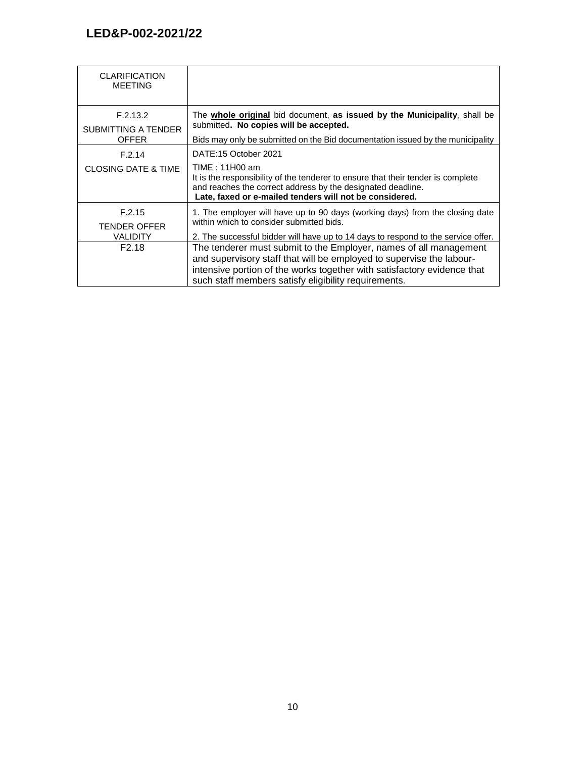| <b>CLARIFICATION</b><br><b>MEETING</b>                                |                                                                                                                                                                                                                                                                                                                                                                                                                                                                                               |
|-----------------------------------------------------------------------|-----------------------------------------------------------------------------------------------------------------------------------------------------------------------------------------------------------------------------------------------------------------------------------------------------------------------------------------------------------------------------------------------------------------------------------------------------------------------------------------------|
| F.2.13.2<br>SUBMITTING A TENDER<br><b>OFFER</b>                       | The whole original bid document, as issued by the Municipality, shall be<br>submitted. No copies will be accepted.<br>Bids may only be submitted on the Bid documentation issued by the municipality                                                                                                                                                                                                                                                                                          |
| F.2.14<br><b>CLOSING DATE &amp; TIME</b>                              | DATE:15 October 2021<br>TIME: 11H00 am<br>It is the responsibility of the tenderer to ensure that their tender is complete<br>and reaches the correct address by the designated deadline.<br>Late, faxed or e-mailed tenders will not be considered.                                                                                                                                                                                                                                          |
| F.2.15<br><b>TENDER OFFER</b><br><b>VALIDITY</b><br>F <sub>2.18</sub> | 1. The employer will have up to 90 days (working days) from the closing date<br>within which to consider submitted bids.<br>2. The successful bidder will have up to 14 days to respond to the service offer.<br>The tenderer must submit to the Employer, names of all management<br>and supervisory staff that will be employed to supervise the labour-<br>intensive portion of the works together with satisfactory evidence that<br>such staff members satisfy eligibility requirements. |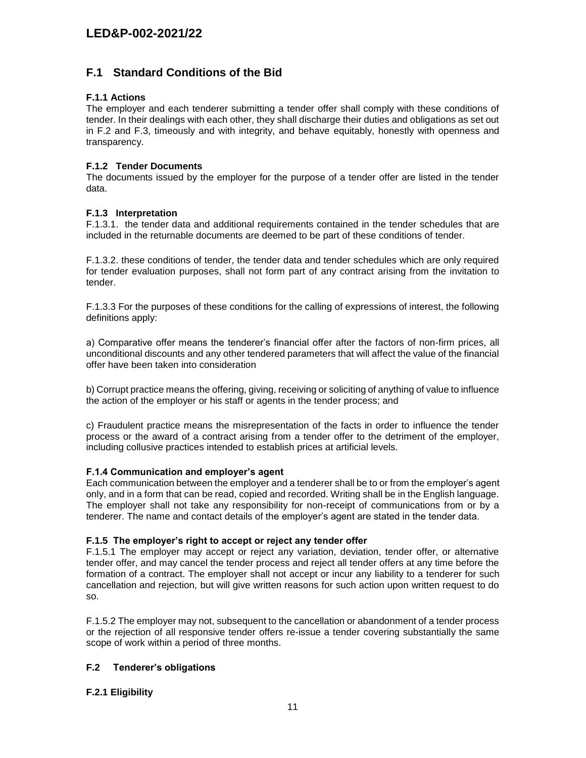## **F.1 Standard Conditions of the Bid**

## **F.1.1 Actions**

The employer and each tenderer submitting a tender offer shall comply with these conditions of tender. In their dealings with each other, they shall discharge their duties and obligations as set out in F.2 and F.3, timeously and with integrity, and behave equitably, honestly with openness and transparency.

## **F.1.2 Tender Documents**

The documents issued by the employer for the purpose of a tender offer are listed in the tender data.

## **F.1.3 Interpretation**

F.1.3.1. the tender data and additional requirements contained in the tender schedules that are included in the returnable documents are deemed to be part of these conditions of tender.

F.1.3.2. these conditions of tender, the tender data and tender schedules which are only required for tender evaluation purposes, shall not form part of any contract arising from the invitation to tender.

F.1.3.3 For the purposes of these conditions for the calling of expressions of interest, the following definitions apply:

a) Comparative offer means the tenderer's financial offer after the factors of non-firm prices, all unconditional discounts and any other tendered parameters that will affect the value of the financial offer have been taken into consideration

b) Corrupt practice means the offering, giving, receiving or soliciting of anything of value to influence the action of the employer or his staff or agents in the tender process; and

c) Fraudulent practice means the misrepresentation of the facts in order to influence the tender process or the award of a contract arising from a tender offer to the detriment of the employer, including collusive practices intended to establish prices at artificial levels.

## **F.1.4 Communication and employer's agent**

Each communication between the employer and a tenderer shall be to or from the employer's agent only, and in a form that can be read, copied and recorded. Writing shall be in the English language. The employer shall not take any responsibility for non-receipt of communications from or by a tenderer. The name and contact details of the employer's agent are stated in the tender data.

## **F.1.5 The employer's right to accept or reject any tender offer**

F.1.5.1 The employer may accept or reject any variation, deviation, tender offer, or alternative tender offer, and may cancel the tender process and reject all tender offers at any time before the formation of a contract. The employer shall not accept or incur any liability to a tenderer for such cancellation and rejection, but will give written reasons for such action upon written request to do so.

F.1.5.2 The employer may not, subsequent to the cancellation or abandonment of a tender process or the rejection of all responsive tender offers re-issue a tender covering substantially the same scope of work within a period of three months.

## **F.2 Tenderer's obligations**

## **F.2.1 Eligibility**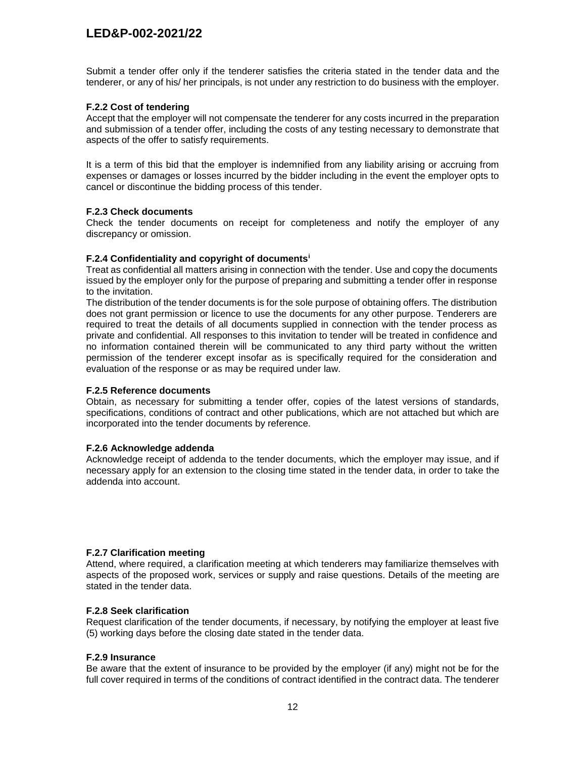Submit a tender offer only if the tenderer satisfies the criteria stated in the tender data and the tenderer, or any of his/ her principals, is not under any restriction to do business with the employer.

#### **F.2.2 Cost of tendering**

Accept that the employer will not compensate the tenderer for any costs incurred in the preparation and submission of a tender offer, including the costs of any testing necessary to demonstrate that aspects of the offer to satisfy requirements.

It is a term of this bid that the employer is indemnified from any liability arising or accruing from expenses or damages or losses incurred by the bidder including in the event the employer opts to cancel or discontinue the bidding process of this tender.

#### **F.2.3 Check documents**

Check the tender documents on receipt for completeness and notify the employer of any discrepancy or omission.

## **F.2.4 Confidentiality and copyright of documents<sup>i</sup>**

Treat as confidential all matters arising in connection with the tender. Use and copy the documents issued by the employer only for the purpose of preparing and submitting a tender offer in response to the invitation.

The distribution of the tender documents is for the sole purpose of obtaining offers. The distribution does not grant permission or licence to use the documents for any other purpose. Tenderers are required to treat the details of all documents supplied in connection with the tender process as private and confidential. All responses to this invitation to tender will be treated in confidence and no information contained therein will be communicated to any third party without the written permission of the tenderer except insofar as is specifically required for the consideration and evaluation of the response or as may be required under law.

#### **F.2.5 Reference documents**

Obtain, as necessary for submitting a tender offer, copies of the latest versions of standards, specifications, conditions of contract and other publications, which are not attached but which are incorporated into the tender documents by reference.

#### **F.2.6 Acknowledge addenda**

Acknowledge receipt of addenda to the tender documents, which the employer may issue, and if necessary apply for an extension to the closing time stated in the tender data, in order to take the addenda into account.

#### **F.2.7 Clarification meeting**

Attend, where required, a clarification meeting at which tenderers may familiarize themselves with aspects of the proposed work, services or supply and raise questions. Details of the meeting are stated in the tender data.

## **F.2.8 Seek clarification**

Request clarification of the tender documents, if necessary, by notifying the employer at least five (5) working days before the closing date stated in the tender data.

#### **F.2.9 Insurance**

Be aware that the extent of insurance to be provided by the employer (if any) might not be for the full cover required in terms of the conditions of contract identified in the contract data. The tenderer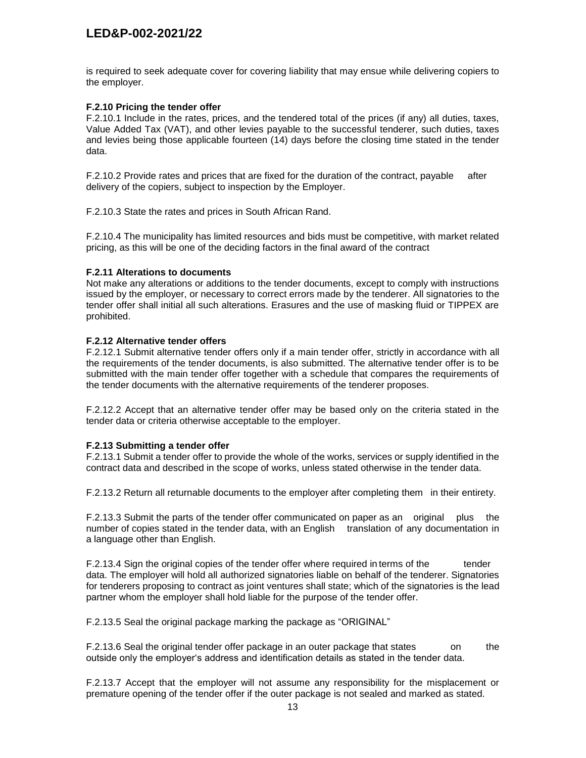is required to seek adequate cover for covering liability that may ensue while delivering copiers to the employer.

## **F.2.10 Pricing the tender offer**

F.2.10.1 Include in the rates, prices, and the tendered total of the prices (if any) all duties, taxes, Value Added Tax (VAT), and other levies payable to the successful tenderer, such duties, taxes and levies being those applicable fourteen (14) days before the closing time stated in the tender data.

F.2.10.2 Provide rates and prices that are fixed for the duration of the contract, payable after delivery of the copiers, subject to inspection by the Employer.

F.2.10.3 State the rates and prices in South African Rand.

F.2.10.4 The municipality has limited resources and bids must be competitive, with market related pricing, as this will be one of the deciding factors in the final award of the contract

#### **F.2.11 Alterations to documents**

Not make any alterations or additions to the tender documents, except to comply with instructions issued by the employer, or necessary to correct errors made by the tenderer. All signatories to the tender offer shall initial all such alterations. Erasures and the use of masking fluid or TIPPEX are prohibited.

#### **F.2.12 Alternative tender offers**

F.2.12.1 Submit alternative tender offers only if a main tender offer, strictly in accordance with all the requirements of the tender documents, is also submitted. The alternative tender offer is to be submitted with the main tender offer together with a schedule that compares the requirements of the tender documents with the alternative requirements of the tenderer proposes.

F.2.12.2 Accept that an alternative tender offer may be based only on the criteria stated in the tender data or criteria otherwise acceptable to the employer.

#### **F.2.13 Submitting a tender offer**

F.2.13.1 Submit a tender offer to provide the whole of the works, services or supply identified in the contract data and described in the scope of works, unless stated otherwise in the tender data.

F.2.13.2 Return all returnable documents to the employer after completing them in their entirety.

F.2.13.3 Submit the parts of the tender offer communicated on paper as an original plus the number of copies stated in the tender data, with an English translation of any documentation in a language other than English.

F.2.13.4 Sign the original copies of the tender offer where required in terms of the tender data. The employer will hold all authorized signatories liable on behalf of the tenderer. Signatories for tenderers proposing to contract as joint ventures shall state; which of the signatories is the lead partner whom the employer shall hold liable for the purpose of the tender offer.

F.2.13.5 Seal the original package marking the package as "ORIGINAL"

F.2.13.6 Seal the original tender offer package in an outer package that states on the outside only the employer's address and identification details as stated in the tender data.

F.2.13.7 Accept that the employer will not assume any responsibility for the misplacement or premature opening of the tender offer if the outer package is not sealed and marked as stated.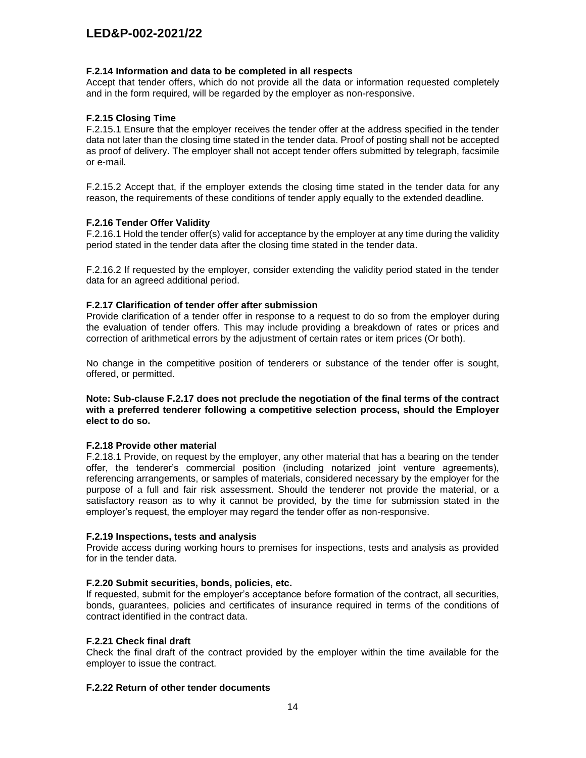#### **F.2.14 Information and data to be completed in all respects**

Accept that tender offers, which do not provide all the data or information requested completely and in the form required, will be regarded by the employer as non-responsive.

## **F.2.15 Closing Time**

F.2.15.1 Ensure that the employer receives the tender offer at the address specified in the tender data not later than the closing time stated in the tender data. Proof of posting shall not be accepted as proof of delivery. The employer shall not accept tender offers submitted by telegraph, facsimile or e-mail.

F.2.15.2 Accept that, if the employer extends the closing time stated in the tender data for any reason, the requirements of these conditions of tender apply equally to the extended deadline.

#### **F.2.16 Tender Offer Validity**

F.2.16.1 Hold the tender offer(s) valid for acceptance by the employer at any time during the validity period stated in the tender data after the closing time stated in the tender data.

F.2.16.2 If requested by the employer, consider extending the validity period stated in the tender data for an agreed additional period.

## **F.2.17 Clarification of tender offer after submission**

Provide clarification of a tender offer in response to a request to do so from the employer during the evaluation of tender offers. This may include providing a breakdown of rates or prices and correction of arithmetical errors by the adjustment of certain rates or item prices (Or both).

No change in the competitive position of tenderers or substance of the tender offer is sought, offered, or permitted.

#### **Note: Sub-clause F.2.17 does not preclude the negotiation of the final terms of the contract with a preferred tenderer following a competitive selection process, should the Employer elect to do so.**

#### **F.2.18 Provide other material**

F.2.18.1 Provide, on request by the employer, any other material that has a bearing on the tender offer, the tenderer's commercial position (including notarized joint venture agreements), referencing arrangements, or samples of materials, considered necessary by the employer for the purpose of a full and fair risk assessment. Should the tenderer not provide the material, or a satisfactory reason as to why it cannot be provided, by the time for submission stated in the employer's request, the employer may regard the tender offer as non-responsive.

## **F.2.19 Inspections, tests and analysis**

Provide access during working hours to premises for inspections, tests and analysis as provided for in the tender data.

#### **F.2.20 Submit securities, bonds, policies, etc.**

If requested, submit for the employer's acceptance before formation of the contract, all securities, bonds, guarantees, policies and certificates of insurance required in terms of the conditions of contract identified in the contract data.

#### **F.2.21 Check final draft**

Check the final draft of the contract provided by the employer within the time available for the employer to issue the contract.

#### **F.2.22 Return of other tender documents**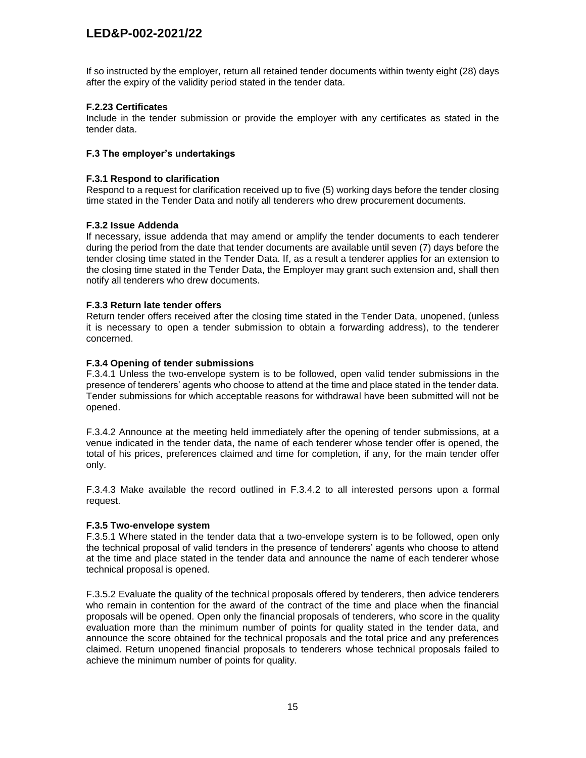If so instructed by the employer, return all retained tender documents within twenty eight (28) days after the expiry of the validity period stated in the tender data.

## **F.2.23 Certificates**

Include in the tender submission or provide the employer with any certificates as stated in the tender data.

#### **F.3 The employer's undertakings**

#### **F.3.1 Respond to clarification**

Respond to a request for clarification received up to five (5) working days before the tender closing time stated in the Tender Data and notify all tenderers who drew procurement documents.

#### **F.3.2 Issue Addenda**

If necessary, issue addenda that may amend or amplify the tender documents to each tenderer during the period from the date that tender documents are available until seven (7) days before the tender closing time stated in the Tender Data. If, as a result a tenderer applies for an extension to the closing time stated in the Tender Data, the Employer may grant such extension and, shall then notify all tenderers who drew documents.

## **F.3.3 Return late tender offers**

Return tender offers received after the closing time stated in the Tender Data, unopened, (unless it is necessary to open a tender submission to obtain a forwarding address), to the tenderer concerned.

## **F.3.4 Opening of tender submissions**

F.3.4.1 Unless the two-envelope system is to be followed, open valid tender submissions in the presence of tenderers' agents who choose to attend at the time and place stated in the tender data. Tender submissions for which acceptable reasons for withdrawal have been submitted will not be opened.

F.3.4.2 Announce at the meeting held immediately after the opening of tender submissions, at a venue indicated in the tender data, the name of each tenderer whose tender offer is opened, the total of his prices, preferences claimed and time for completion, if any, for the main tender offer only.

F.3.4.3 Make available the record outlined in F.3.4.2 to all interested persons upon a formal request.

#### **F.3.5 Two-envelope system**

F.3.5.1 Where stated in the tender data that a two-envelope system is to be followed, open only the technical proposal of valid tenders in the presence of tenderers' agents who choose to attend at the time and place stated in the tender data and announce the name of each tenderer whose technical proposal is opened.

F.3.5.2 Evaluate the quality of the technical proposals offered by tenderers, then advice tenderers who remain in contention for the award of the contract of the time and place when the financial proposals will be opened. Open only the financial proposals of tenderers, who score in the quality evaluation more than the minimum number of points for quality stated in the tender data, and announce the score obtained for the technical proposals and the total price and any preferences claimed. Return unopened financial proposals to tenderers whose technical proposals failed to achieve the minimum number of points for quality.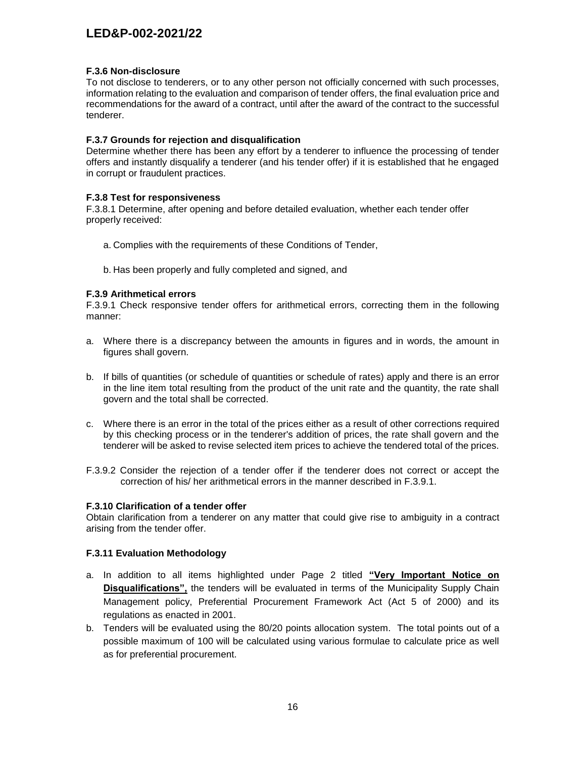### **F.3.6 Non-disclosure**

To not disclose to tenderers, or to any other person not officially concerned with such processes, information relating to the evaluation and comparison of tender offers, the final evaluation price and recommendations for the award of a contract, until after the award of the contract to the successful tenderer.

## **F.3.7 Grounds for rejection and disqualification**

Determine whether there has been any effort by a tenderer to influence the processing of tender offers and instantly disqualify a tenderer (and his tender offer) if it is established that he engaged in corrupt or fraudulent practices.

## **F.3.8 Test for responsiveness**

F.3.8.1 Determine, after opening and before detailed evaluation, whether each tender offer properly received:

- a. Complies with the requirements of these Conditions of Tender,
- b. Has been properly and fully completed and signed, and

## **F.3.9 Arithmetical errors**

F.3.9.1 Check responsive tender offers for arithmetical errors, correcting them in the following manner:

- a. Where there is a discrepancy between the amounts in figures and in words, the amount in figures shall govern.
- b. If bills of quantities (or schedule of quantities or schedule of rates) apply and there is an error in the line item total resulting from the product of the unit rate and the quantity, the rate shall govern and the total shall be corrected.
- c. Where there is an error in the total of the prices either as a result of other corrections required by this checking process or in the tenderer's addition of prices, the rate shall govern and the tenderer will be asked to revise selected item prices to achieve the tendered total of the prices.
- F.3.9.2 Consider the rejection of a tender offer if the tenderer does not correct or accept the correction of his/ her arithmetical errors in the manner described in F.3.9.1.

#### **F.3.10 Clarification of a tender offer**

Obtain clarification from a tenderer on any matter that could give rise to ambiguity in a contract arising from the tender offer.

## **F.3.11 Evaluation Methodology**

- a. In addition to all items highlighted under Page 2 titled **"Very Important Notice on Disqualifications",** the tenders will be evaluated in terms of the Municipality Supply Chain Management policy, Preferential Procurement Framework Act (Act 5 of 2000) and its regulations as enacted in 2001.
- b. Tenders will be evaluated using the 80/20 points allocation system. The total points out of a possible maximum of 100 will be calculated using various formulae to calculate price as well as for preferential procurement.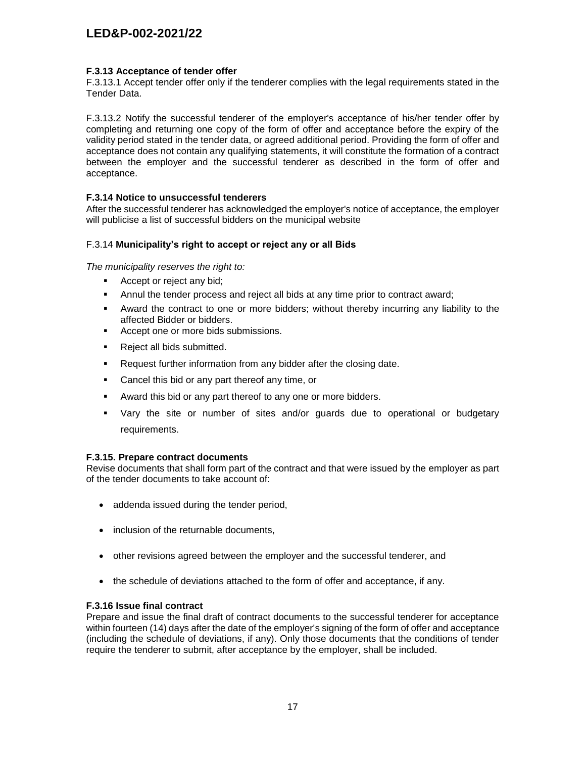## **F.3.13 Acceptance of tender offer**

F.3.13.1 Accept tender offer only if the tenderer complies with the legal requirements stated in the Tender Data.

F.3.13.2 Notify the successful tenderer of the employer's acceptance of his/her tender offer by completing and returning one copy of the form of offer and acceptance before the expiry of the validity period stated in the tender data, or agreed additional period. Providing the form of offer and acceptance does not contain any qualifying statements, it will constitute the formation of a contract between the employer and the successful tenderer as described in the form of offer and acceptance.

## **F.3.14 Notice to unsuccessful tenderers**

After the successful tenderer has acknowledged the employer's notice of acceptance, the employer will publicise a list of successful bidders on the municipal website

## F.3.14 **Municipality's right to accept or reject any or all Bids**

*The municipality reserves the right to:*

- Accept or reject any bid;
- Annul the tender process and reject all bids at any time prior to contract award;
- Award the contract to one or more bidders; without thereby incurring any liability to the affected Bidder or bidders.
- Accept one or more bids submissions.
- **Reject all bids submitted.**
- **Request further information from any bidder after the closing date.**
- **Cancel this bid or any part thereof any time, or**
- Award this bid or any part thereof to any one or more bidders.
- Vary the site or number of sites and/or guards due to operational or budgetary requirements.

#### **F.3.15. Prepare contract documents**

Revise documents that shall form part of the contract and that were issued by the employer as part of the tender documents to take account of:

- addenda issued during the tender period,
- inclusion of the returnable documents,
- other revisions agreed between the employer and the successful tenderer, and
- the schedule of deviations attached to the form of offer and acceptance, if any.

#### **F.3.16 Issue final contract**

Prepare and issue the final draft of contract documents to the successful tenderer for acceptance within fourteen (14) days after the date of the employer's signing of the form of offer and acceptance (including the schedule of deviations, if any). Only those documents that the conditions of tender require the tenderer to submit, after acceptance by the employer, shall be included.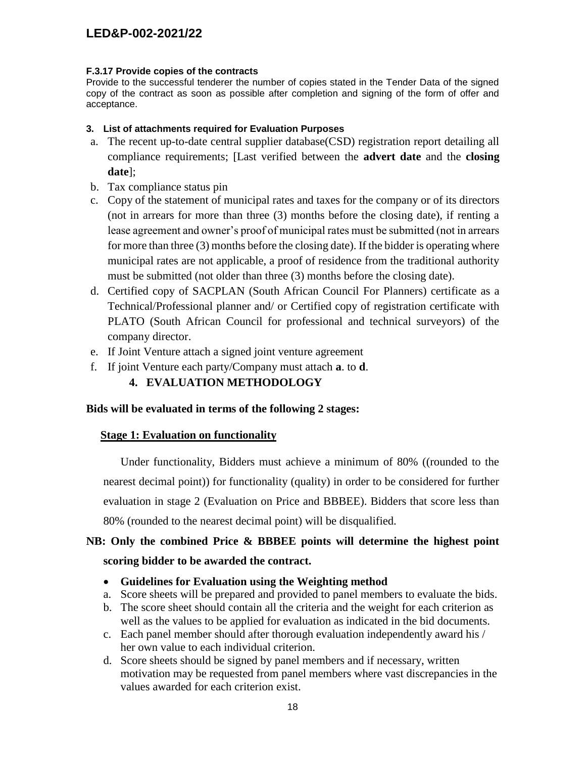## **F.3.17 Provide copies of the contracts**

Provide to the successful tenderer the number of copies stated in the Tender Data of the signed copy of the contract as soon as possible after completion and signing of the form of offer and acceptance.

## **3. List of attachments required for Evaluation Purposes**

- a. The recent up-to-date central supplier database(CSD) registration report detailing all compliance requirements; [Last verified between the **advert date** and the **closing date**];
- b. Tax compliance status pin
- c. Copy of the statement of municipal rates and taxes for the company or of its directors (not in arrears for more than three (3) months before the closing date), if renting a lease agreement and owner's proof of municipal rates must be submitted (not in arrears for more than three (3) months before the closing date). If the bidder is operating where municipal rates are not applicable, a proof of residence from the traditional authority must be submitted (not older than three (3) months before the closing date).
- d. Certified copy of SACPLAN (South African Council For Planners) certificate as a Technical/Professional planner and/ or Certified copy of registration certificate with PLATO (South African Council for professional and technical surveyors) of the company director.
- e. If Joint Venture attach a signed joint venture agreement
- f. If joint Venture each party/Company must attach **a**. to **d**.

## **4. EVALUATION METHODOLOGY**

## **Bids will be evaluated in terms of the following 2 stages:**

## **Stage 1: Evaluation on functionality**

 Under functionality, Bidders must achieve a minimum of 80% ((rounded to the nearest decimal point)) for functionality (quality) in order to be considered for further evaluation in stage 2 (Evaluation on Price and BBBEE). Bidders that score less than 80% (rounded to the nearest decimal point) will be disqualified.

# **NB: Only the combined Price & BBBEE points will determine the highest point scoring bidder to be awarded the contract.**

## **Guidelines for Evaluation using the Weighting method**

- a. Score sheets will be prepared and provided to panel members to evaluate the bids.
- b. The score sheet should contain all the criteria and the weight for each criterion as well as the values to be applied for evaluation as indicated in the bid documents.
- c. Each panel member should after thorough evaluation independently award his / her own value to each individual criterion.
- d. Score sheets should be signed by panel members and if necessary, written motivation may be requested from panel members where vast discrepancies in the values awarded for each criterion exist.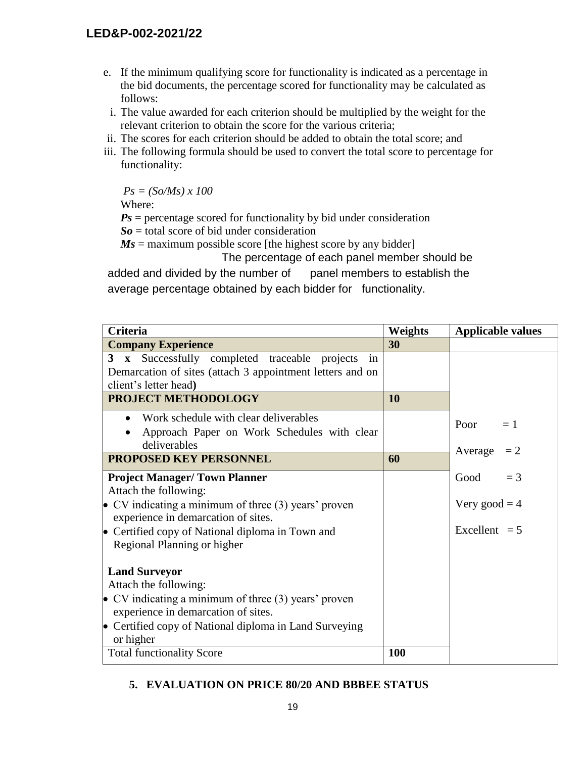- e. If the minimum qualifying score for functionality is indicated as a percentage in the bid documents, the percentage scored for functionality may be calculated as follows:
- i. The value awarded for each criterion should be multiplied by the weight for the relevant criterion to obtain the score for the various criteria;
- ii. The scores for each criterion should be added to obtain the total score; and
- iii. The following formula should be used to convert the total score to percentage for functionality:

*Ps = (So/Ms) x 100*

Where:

 $Ps$  = percentage scored for functionality by bid under consideration

 $S_0$  = total score of bid under consideration

 $Ms$  = maximum possible score [the highest score by any bidder]

The percentage of each panel member should be added and divided by the number of panel members to establish the average percentage obtained by each bidder for functionality.

| <b>Criteria</b>                                               | Weights | <b>Applicable values</b> |
|---------------------------------------------------------------|---------|--------------------------|
| <b>Company Experience</b>                                     | 30      |                          |
| Successfully completed traceable projects<br>$3 \times$<br>in |         |                          |
| Demarcation of sites (attach 3 appointment letters and on     |         |                          |
| client's letter head)                                         |         |                          |
| PROJECT METHODOLOGY                                           | 10      |                          |
| Work schedule with clear deliverables<br>$\bullet$            |         | Poor<br>$=1$             |
| Approach Paper on Work Schedules with clear                   |         |                          |
| deliverables                                                  |         | Average<br>$=2$          |
| <b>PROPOSED KEY PERSONNEL</b>                                 | 60      |                          |
| <b>Project Manager/Town Planner</b>                           |         | Good<br>$=$ 3            |
| Attach the following:                                         |         |                          |
| • CV indicating a minimum of three $(3)$ years' proven        |         | Very good $=$ 4          |
| experience in demarcation of sites.                           |         |                          |
| • Certified copy of National diploma in Town and              |         | Excellent $= 5$          |
| Regional Planning or higher                                   |         |                          |
| <b>Land Surveyor</b>                                          |         |                          |
| Attach the following:                                         |         |                          |
| • CV indicating a minimum of three $(3)$ years' proven        |         |                          |
| experience in demarcation of sites.                           |         |                          |
| • Certified copy of National diploma in Land Surveying        |         |                          |
| or higher                                                     |         |                          |
| <b>Total functionality Score</b>                              | 100     |                          |

# **5. EVALUATION ON PRICE 80/20 AND BBBEE STATUS**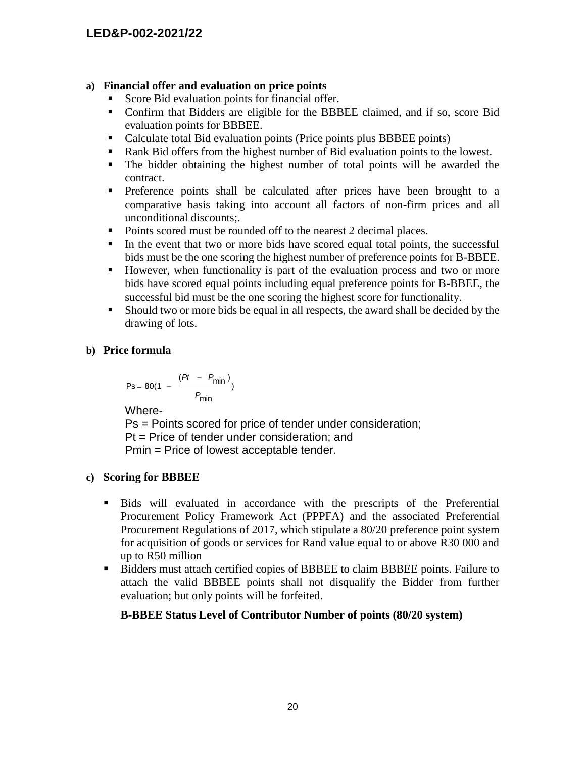## **a) Financial offer and evaluation on price points**

- Score Bid evaluation points for financial offer.
- Confirm that Bidders are eligible for the BBBEE claimed, and if so, score Bid evaluation points for BBBEE.
- Calculate total Bid evaluation points (Price points plus BBBEE points)
- Rank Bid offers from the highest number of Bid evaluation points to the lowest.
- The bidder obtaining the highest number of total points will be awarded the contract.
- **Preference points shall be calculated after prices have been brought to a** comparative basis taking into account all factors of non-firm prices and all unconditional discounts;.
- Points scored must be rounded off to the nearest 2 decimal places.
- In the event that two or more bids have scored equal total points, the successful bids must be the one scoring the highest number of preference points for B-BBEE.
- However, when functionality is part of the evaluation process and two or more bids have scored equal points including equal preference points for B-BBEE, the successful bid must be the one scoring the highest score for functionality.
- Should two or more bids be equal in all respects, the award shall be decided by the drawing of lots.

# **b) Price formula**

$$
Ps = 80(1 - \frac{(Pt - P_{min})}{P_{min}})
$$

Where-

Ps = Points scored for price of tender under consideration; Pt = Price of tender under consideration; and Pmin = Price of lowest acceptable tender.

# **c) Scoring for BBBEE**

- Bids will evaluated in accordance with the prescripts of the Preferential Procurement Policy Framework Act (PPPFA) and the associated Preferential Procurement Regulations of 2017, which stipulate a 80/20 preference point system for acquisition of goods or services for Rand value equal to or above R30 000 and up to R50 million
- Bidders must attach certified copies of BBBEE to claim BBBEE points. Failure to attach the valid BBBEE points shall not disqualify the Bidder from further evaluation; but only points will be forfeited.

# **B-BBEE Status Level of Contributor Number of points (80/20 system)**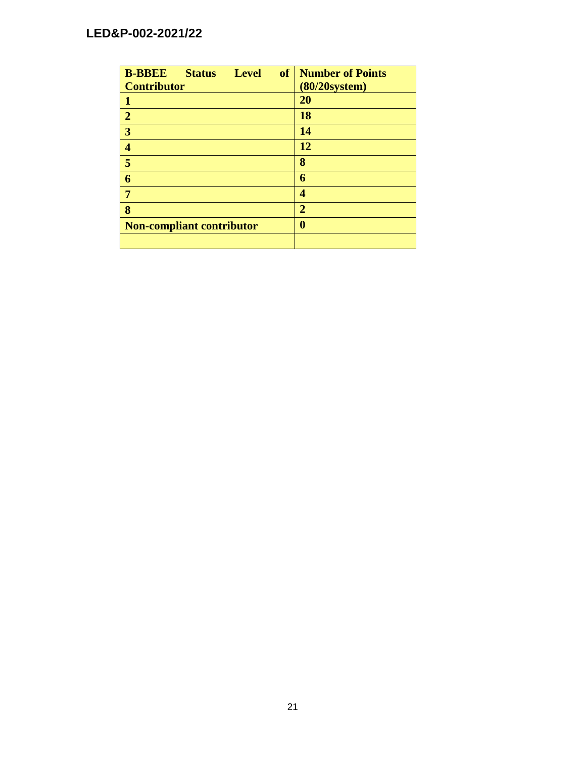| <b>B-BBEE</b><br><b>Status</b><br><b>Level</b> | <b>of</b><br><b>Number of Points</b> |
|------------------------------------------------|--------------------------------------|
| <b>Contributor</b>                             | $(80/20$ system $)$                  |
|                                                | 20                                   |
| $\overline{2}$                                 | 18                                   |
| 3                                              | 14                                   |
| 4                                              | 12                                   |
| 5                                              | 8                                    |
| 6                                              | 6                                    |
| 7                                              | 4                                    |
| 8                                              | $\overline{2}$                       |
| <b>Non-compliant contributor</b>               | 0                                    |
|                                                |                                      |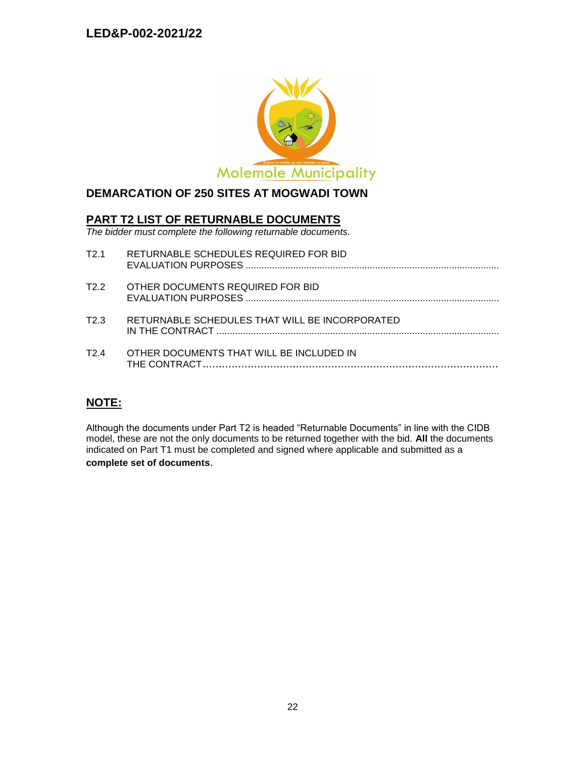

# **DEMARCATION OF 250 SITES AT MOGWADI TOWN**

## **PART T2 LIST OF RETURNABLE DOCUMENTS**

*The bidder must complete the following returnable documents.*

| T2.1             | RETURNABLE SCHEDULES REQUIRED FOR BID          |
|------------------|------------------------------------------------|
| T2.2             | OTHER DOCUMENTS REQUIRED FOR BID               |
| T <sub>2</sub> 3 | RETURNABLE SCHEDULES THAT WILL BE INCORPORATED |
| T24              | OTHER DOCUMENTS THAT WILL BE INCLUDED IN       |

## **NOTE:**

Although the documents under Part T2 is headed "Returnable Documents" in line with the CIDB model, these are not the only documents to be returned together with the bid. **All** the documents indicated on Part T1 must be completed and signed where applicable and submitted as a **complete set of documents**.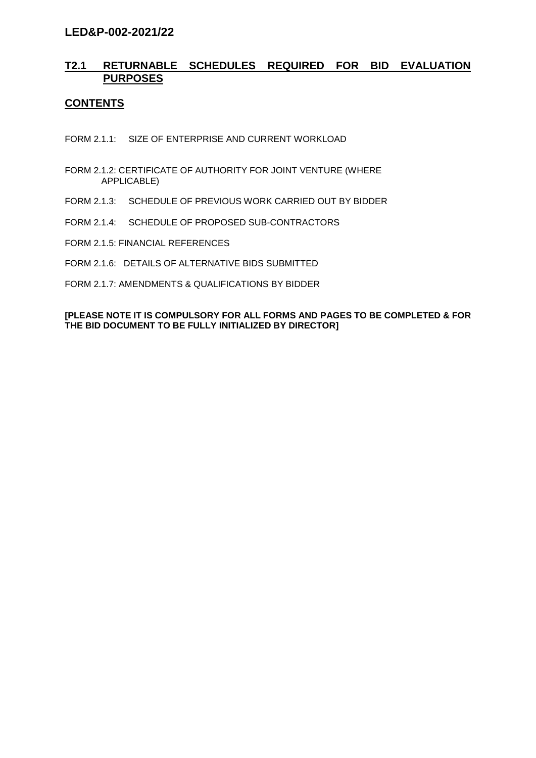## **T2.1 RETURNABLE SCHEDULES REQUIRED FOR BID EVALUATION PURPOSES**

## **CONTENTS**

FORM 2.1.1: SIZE OF ENTERPRISE AND CURRENT WORKLOAD

- FORM 2.1.2: CERTIFICATE OF AUTHORITY FOR JOINT VENTURE (WHERE APPLICABLE)
- FORM 2.1.3: SCHEDULE OF PREVIOUS WORK CARRIED OUT BY BIDDER
- FORM 2.1.4: SCHEDULE OF PROPOSED SUB-CONTRACTORS
- FORM 2.1.5: FINANCIAL REFERENCES
- FORM 2.1.6: DETAILS OF ALTERNATIVE BIDS SUBMITTED
- FORM 2.1.7: AMENDMENTS & QUALIFICATIONS BY BIDDER

## **[PLEASE NOTE IT IS COMPULSORY FOR ALL FORMS AND PAGES TO BE COMPLETED & FOR THE BID DOCUMENT TO BE FULLY INITIALIZED BY DIRECTOR]**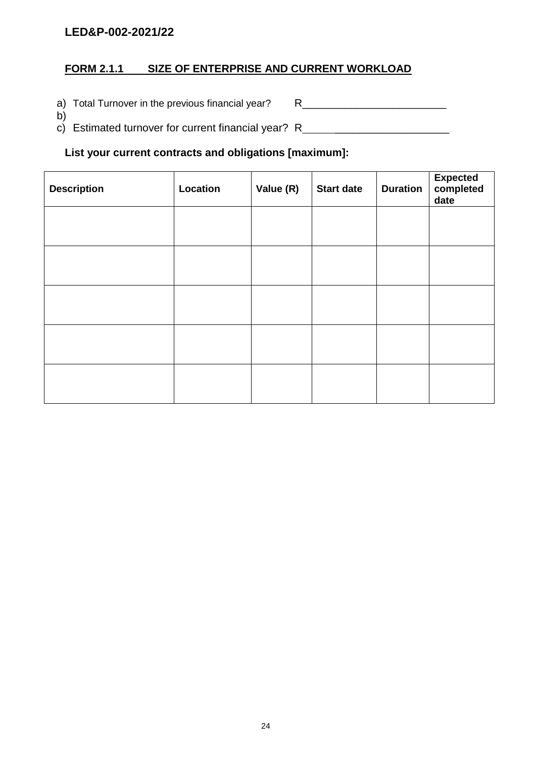# **FORM 2.1.1 SIZE OF ENTERPRISE AND CURRENT WORKLOAD**

a) Total Turnover in the previous financial year? R\_\_\_\_\_\_\_\_\_\_\_\_\_\_\_\_\_\_\_\_\_\_\_\_\_\_\_\_\_

b) c) Estimated turnover for current financial year? R \_\_\_\_\_\_\_\_\_\_\_\_\_\_\_\_\_\_\_

## **List your current contracts and obligations [maximum]:**

| <b>Description</b> | Location | Value (R) | <b>Start date</b> | <b>Duration</b> | Expected<br>completed<br>date |
|--------------------|----------|-----------|-------------------|-----------------|-------------------------------|
|                    |          |           |                   |                 |                               |
|                    |          |           |                   |                 |                               |
|                    |          |           |                   |                 |                               |
|                    |          |           |                   |                 |                               |
|                    |          |           |                   |                 |                               |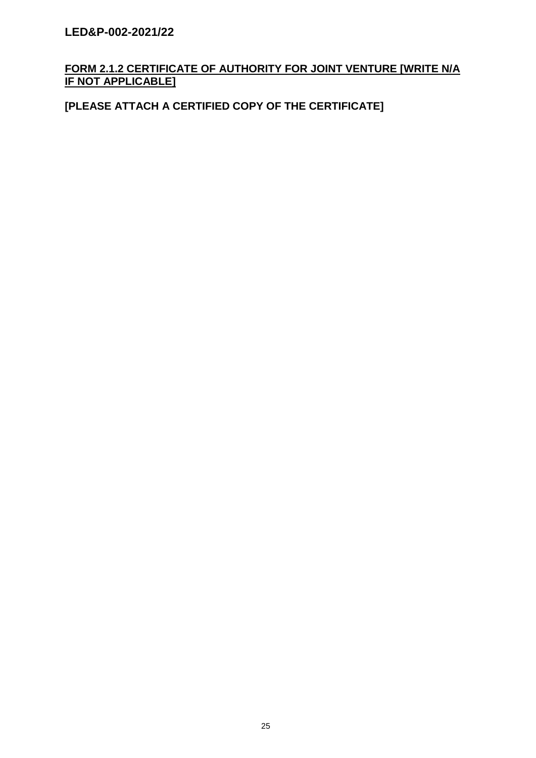# **FORM 2.1.2 CERTIFICATE OF AUTHORITY FOR JOINT VENTURE [WRITE N/A IF NOT APPLICABLE]**

# **[PLEASE ATTACH A CERTIFIED COPY OF THE CERTIFICATE]**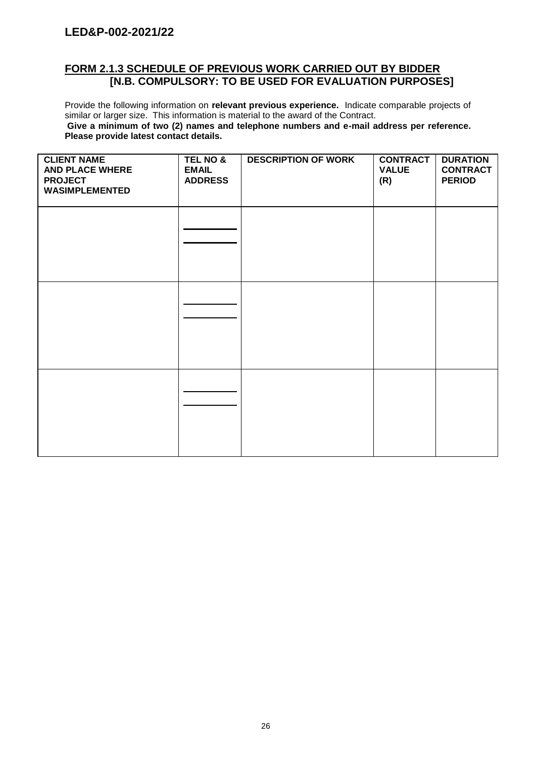## **FORM 2.1.3 SCHEDULE OF PREVIOUS WORK CARRIED OUT BY BIDDER [N.B. COMPULSORY: TO BE USED FOR EVALUATION PURPOSES]**

Provide the following information on **relevant previous experience.** Indicate comparable projects of similar or larger size. This information is material to the award of the Contract. **Give a minimum of two (2) names and telephone numbers and e-mail address per reference. Please provide latest contact details.**

| <b>CLIENT NAME</b><br><b>AND PLACE WHERE</b><br><b>PROJECT</b><br><b>WASIMPLEMENTED</b> | <b>TEL NO &amp;</b><br><b>EMAIL</b><br><b>ADDRESS</b> | <b>DESCRIPTION OF WORK</b> | <b>CONTRACT</b><br><b>VALUE</b><br>(R) | <b>DURATION</b><br><b>CONTRACT</b><br><b>PERIOD</b> |
|-----------------------------------------------------------------------------------------|-------------------------------------------------------|----------------------------|----------------------------------------|-----------------------------------------------------|
|                                                                                         |                                                       |                            |                                        |                                                     |
|                                                                                         |                                                       |                            |                                        |                                                     |
|                                                                                         |                                                       |                            |                                        |                                                     |
|                                                                                         |                                                       |                            |                                        |                                                     |
|                                                                                         |                                                       |                            |                                        |                                                     |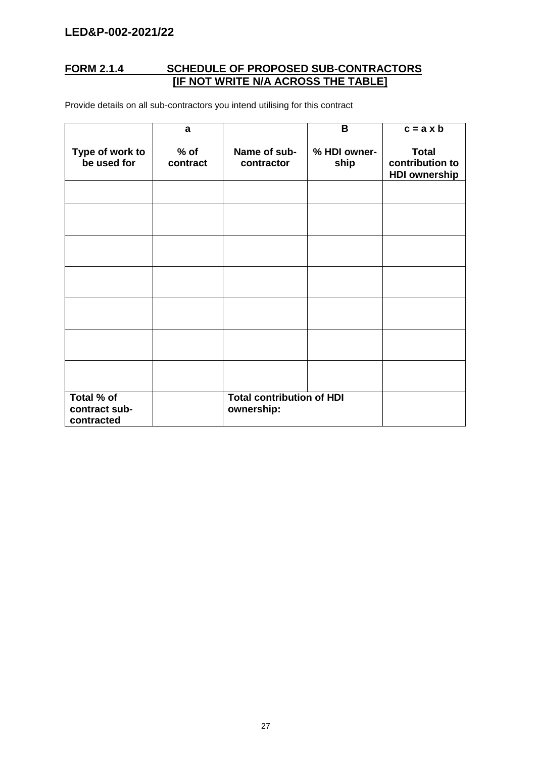## **FORM 2.1.4 SCHEDULE OF PROPOSED SUB-CONTRACTORS [IF NOT WRITE N/A ACROSS THE TABLE]**

Provide details on all sub-contractors you intend utilising for this contract

|                                           | a                  |                                                | B                    | $c = a \times b$                                        |
|-------------------------------------------|--------------------|------------------------------------------------|----------------------|---------------------------------------------------------|
| Type of work to<br>be used for            | $%$ of<br>contract | Name of sub-<br>contractor                     | % HDI owner-<br>ship | <b>Total</b><br>contribution to<br><b>HDI ownership</b> |
|                                           |                    |                                                |                      |                                                         |
|                                           |                    |                                                |                      |                                                         |
|                                           |                    |                                                |                      |                                                         |
|                                           |                    |                                                |                      |                                                         |
|                                           |                    |                                                |                      |                                                         |
|                                           |                    |                                                |                      |                                                         |
|                                           |                    |                                                |                      |                                                         |
| Total % of<br>contract sub-<br>contracted |                    | <b>Total contribution of HDI</b><br>ownership: |                      |                                                         |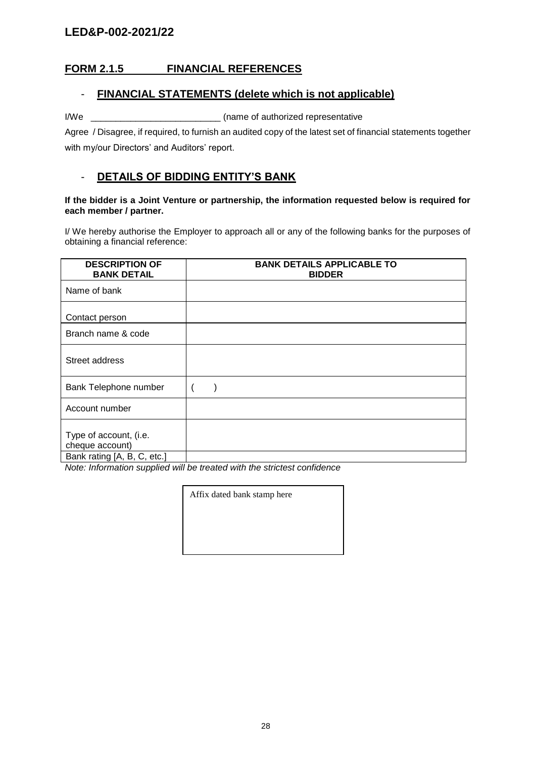# **FORM 2.1.5 FINANCIAL REFERENCES**

## - **FINANCIAL STATEMENTS (delete which is not applicable)**

I/We \_\_\_\_\_\_\_\_\_\_\_\_\_\_\_\_\_\_\_\_\_\_\_\_\_\_ (name of authorized representative

Agree / Disagree, if required, to furnish an audited copy of the latest set of financial statements together with my/our Directors' and Auditors' report.

## - **DETAILS OF BIDDING ENTITY'S BANK**

## **If the bidder is a Joint Venture or partnership, the information requested below is required for each member / partner.**

I/ We hereby authorise the Employer to approach all or any of the following banks for the purposes of obtaining a financial reference:

| <b>DESCRIPTION OF</b><br><b>BANK DETAIL</b>                              | <b>BANK DETAILS APPLICABLE TO</b><br><b>BIDDER</b> |
|--------------------------------------------------------------------------|----------------------------------------------------|
| Name of bank                                                             |                                                    |
| Contact person                                                           |                                                    |
| Branch name & code                                                       |                                                    |
| Street address                                                           |                                                    |
| Bank Telephone number                                                    |                                                    |
| Account number                                                           |                                                    |
| Type of account, (i.e.<br>cheque account)<br>Bank rating [A, B, C, etc.] |                                                    |

*Note: Information supplied will be treated with the strictest confidence*

Affix dated bank stamp here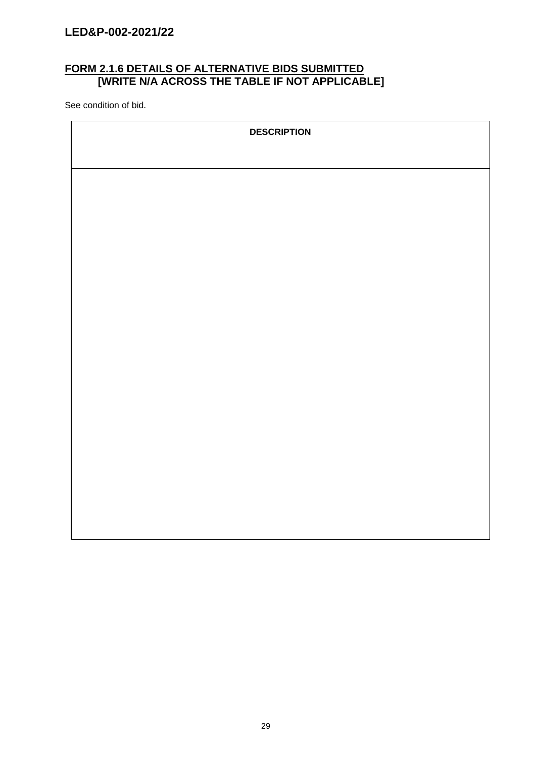## **FORM 2.1.6 DETAILS OF ALTERNATIVE BIDS SUBMITTED [WRITE N/A ACROSS THE TABLE IF NOT APPLICABLE]**

See condition of bid.

| <b>DESCRIPTION</b> |
|--------------------|
|                    |
|                    |
|                    |
|                    |
|                    |
|                    |
|                    |
|                    |
|                    |
|                    |
|                    |
|                    |
|                    |
|                    |
|                    |
|                    |
|                    |
|                    |
|                    |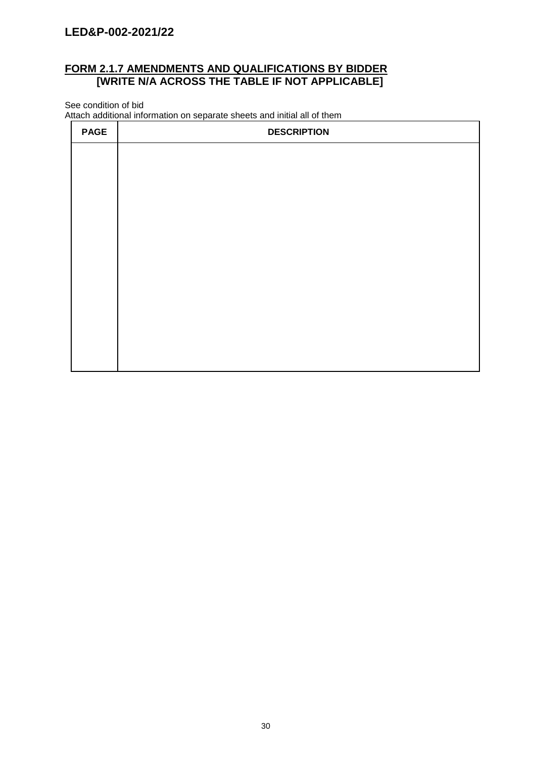## **FORM 2.1.7 AMENDMENTS AND QUALIFICATIONS BY BIDDER [WRITE N/A ACROSS THE TABLE IF NOT APPLICABLE]**

See condition of bid

Attach additional information on separate sheets and initial all of them

| <b>PAGE</b> | <b>DESCRIPTION</b> |
|-------------|--------------------|
|             |                    |
|             |                    |
|             |                    |
|             |                    |
|             |                    |
|             |                    |
|             |                    |
|             |                    |
|             |                    |
|             |                    |
|             |                    |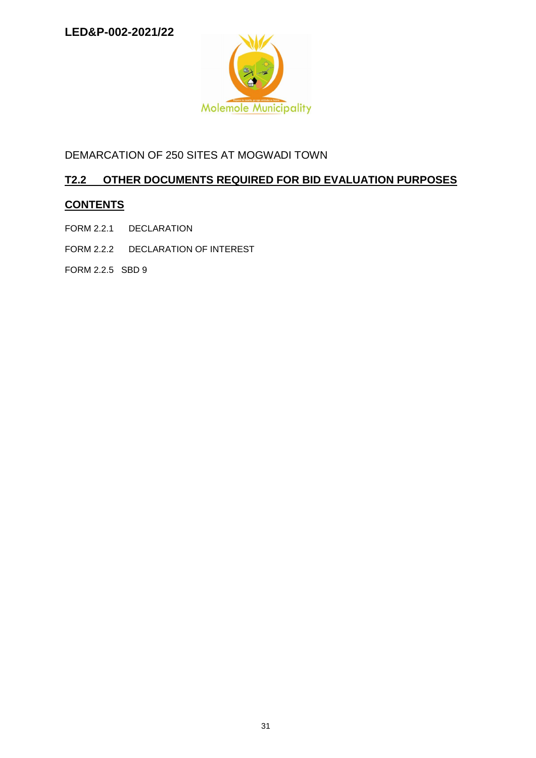

DEMARCATION OF 250 SITES AT MOGWADI TOWN

# **T2.2 OTHER DOCUMENTS REQUIRED FOR BID EVALUATION PURPOSES**

# **CONTENTS**

- FORM 2.2.1 DECLARATION
- FORM 2.2.2 DECLARATION OF INTEREST
- FORM 2.2.5 SBD 9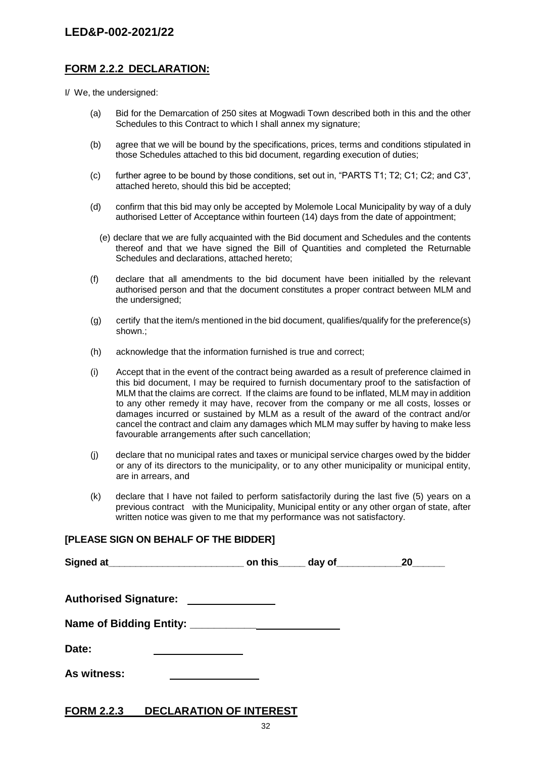## **FORM 2.2.2 DECLARATION:**

I/ We, the undersigned:

- (a) Bid for the Demarcation of 250 sites at Mogwadi Town described both in this and the other Schedules to this Contract to which I shall annex my signature;
- (b) agree that we will be bound by the specifications, prices, terms and conditions stipulated in those Schedules attached to this bid document, regarding execution of duties;
- (c) further agree to be bound by those conditions, set out in, "PARTS T1; T2; C1; C2; and C3", attached hereto, should this bid be accepted;
- (d) confirm that this bid may only be accepted by Molemole Local Municipality by way of a duly authorised Letter of Acceptance within fourteen (14) days from the date of appointment;
	- (e) declare that we are fully acquainted with the Bid document and Schedules and the contents thereof and that we have signed the Bill of Quantities and completed the Returnable Schedules and declarations, attached hereto;
- (f) declare that all amendments to the bid document have been initialled by the relevant authorised person and that the document constitutes a proper contract between MLM and the undersigned;
- (g) certify that the item/s mentioned in the bid document, qualifies/qualify for the preference(s) shown.;
- (h) acknowledge that the information furnished is true and correct;
- (i) Accept that in the event of the contract being awarded as a result of preference claimed in this bid document, I may be required to furnish documentary proof to the satisfaction of MLM that the claims are correct. If the claims are found to be inflated, MLM may in addition to any other remedy it may have, recover from the company or me all costs, losses or damages incurred or sustained by MLM as a result of the award of the contract and/or cancel the contract and claim any damages which MLM may suffer by having to make less favourable arrangements after such cancellation;
- (j) declare that no municipal rates and taxes or municipal service charges owed by the bidder or any of its directors to the municipality, or to any other municipality or municipal entity, are in arrears, and
- (k) declare that I have not failed to perform satisfactorily during the last five (5) years on a previous contract with the Municipality, Municipal entity or any other organ of state, after written notice was given to me that my performance was not satisfactory.

# **[PLEASE SIGN ON BEHALF OF THE BIDDER]**

|                                      |  | 20 |
|--------------------------------------|--|----|
| Authorised Signature: ______________ |  |    |
|                                      |  |    |
| Date:                                |  |    |
| As witness:                          |  |    |

## **FORM 2.2.3 DECLARATION OF INTEREST**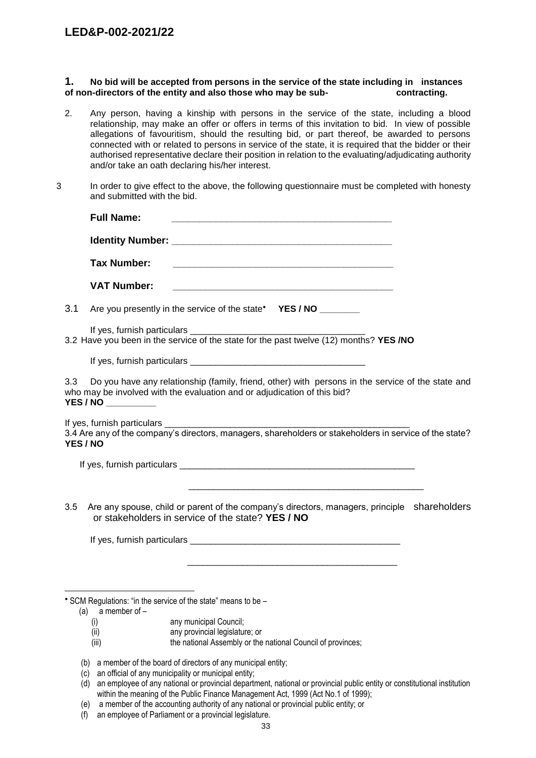## **1. No bid will be accepted from persons in the service of the state including in instances of non-directors of the entity and also those who may be sub- contracting.**

- 2. Any person, having a kinship with persons in the service of the state, including a blood relationship, may make an offer or offers in terms of this invitation to bid. In view of possible allegations of favouritism, should the resulting bid, or part thereof, be awarded to persons connected with or related to persons in service of the state, it is required that the bidder or their authorised representative declare their position in relation to the evaluating/adjudicating authority and/or take an oath declaring his/her interest.
- 3 In order to give effect to the above, the following questionnaire must be completed with honesty and submitted with the bid.

|     | <b>Full Name:</b>                                                                                                                                                                                                                                                           |  |
|-----|-----------------------------------------------------------------------------------------------------------------------------------------------------------------------------------------------------------------------------------------------------------------------------|--|
|     |                                                                                                                                                                                                                                                                             |  |
|     | <b>Tax Number:</b>                                                                                                                                                                                                                                                          |  |
|     | <b>VAT Number:</b><br><u> 1980 - Johann Stoff, amerikan bestein de stad in de stad in de stad in de stad in de stad in de stad in de s</u>                                                                                                                                  |  |
| 3.1 | Are you presently in the service of the state* YES / NO _________                                                                                                                                                                                                           |  |
|     |                                                                                                                                                                                                                                                                             |  |
|     |                                                                                                                                                                                                                                                                             |  |
| 3.3 | Do you have any relationship (family, friend, other) with persons in the service of the state and<br>who may be involved with the evaluation and or adjudication of this bid?<br><b>YES / NO __________</b>                                                                 |  |
|     | 3.4 Are any of the company's directors, managers, shareholders or stakeholders in service of the state?<br><b>YES / NO</b>                                                                                                                                                  |  |
|     |                                                                                                                                                                                                                                                                             |  |
| 3.5 | <u> 1980 - Jan James James, martin de filozof, francuski filozof, francuski filozof, francuski filozof, francuski </u><br>Are any spouse, child or parent of the company's directors, managers, principle shareholders<br>or stakeholders in service of the state? YES / NO |  |
|     |                                                                                                                                                                                                                                                                             |  |
|     |                                                                                                                                                                                                                                                                             |  |
|     | * SCM Regulations: "in the service of the state" means to be -<br>(a) a member of $-$                                                                                                                                                                                       |  |
|     | any municipal Council;<br>(i)                                                                                                                                                                                                                                               |  |

- (ii) any provincial legislature; or
- (iii) the national Assembly or the national Council of provinces;
- (b) a member of the board of directors of any municipal entity;
- (c) an official of any municipality or municipal entity;
- (d) an employee of any national or provincial department, national or provincial public entity or constitutional institution within the meaning of the Public Finance Management Act, 1999 (Act No.1 of 1999);
- (e) a member of the accounting authority of any national or provincial public entity; or
- (f) an employee of Parliament or a provincial legislature.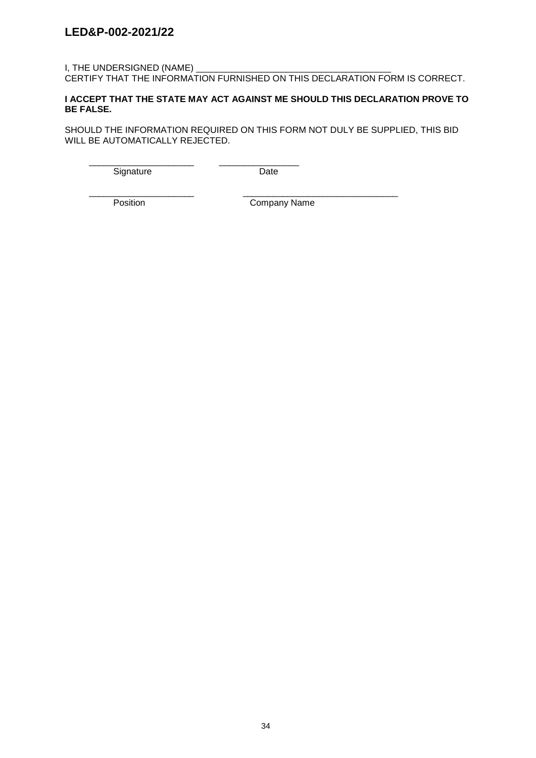## I, THE UNDERSIGNED (NAME) CERTIFY THAT THE INFORMATION FURNISHED ON THIS DECLARATION FORM IS CORRECT.

## **I ACCEPT THAT THE STATE MAY ACT AGAINST ME SHOULD THIS DECLARATION PROVE TO BE FALSE.**

SHOULD THE INFORMATION REQUIRED ON THIS FORM NOT DULY BE SUPPLIED, THIS BID WILL BE AUTOMATICALLY REJECTED.

\_\_\_\_\_\_\_\_\_\_\_\_\_\_\_\_\_\_\_\_\_ \_\_\_\_\_\_\_\_\_\_\_\_\_\_\_\_ Signature Date

\_\_\_\_\_\_\_\_\_\_\_\_\_\_\_\_\_\_\_\_\_ \_\_\_\_\_\_\_\_\_\_\_\_\_\_\_\_\_\_\_\_\_\_\_\_\_\_\_\_\_\_\_

Position **Company Name**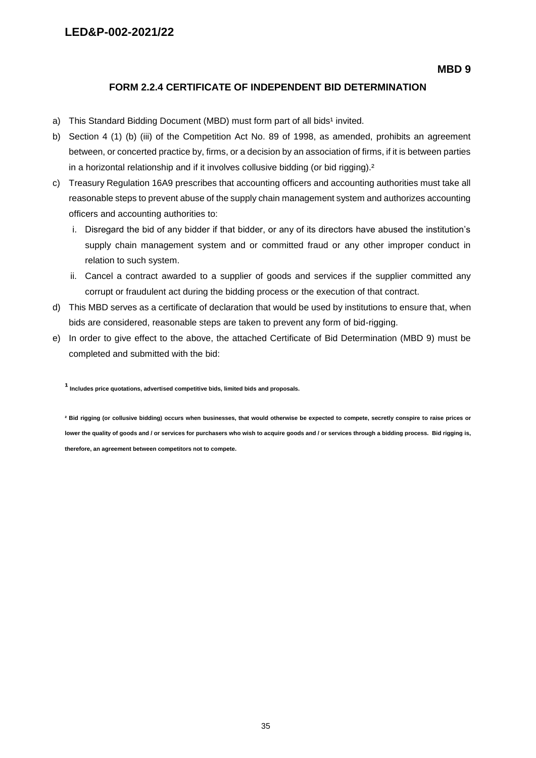## **FORM 2.2.4 CERTIFICATE OF INDEPENDENT BID DETERMINATION**

- a) This Standard Bidding Document (MBD) must form part of all bids<sup>1</sup> invited.
- b) Section 4 (1) (b) (iii) of the Competition Act No. 89 of 1998, as amended, prohibits an agreement between, or concerted practice by, firms, or a decision by an association of firms, if it is between parties in a horizontal relationship and if it involves collusive bidding (or bid rigging).<sup>2</sup>
- c) Treasury Regulation 16A9 prescribes that accounting officers and accounting authorities must take all reasonable steps to prevent abuse of the supply chain management system and authorizes accounting officers and accounting authorities to:
	- i. Disregard the bid of any bidder if that bidder, or any of its directors have abused the institution's supply chain management system and or committed fraud or any other improper conduct in relation to such system.
	- ii. Cancel a contract awarded to a supplier of goods and services if the supplier committed any corrupt or fraudulent act during the bidding process or the execution of that contract.
- d) This MBD serves as a certificate of declaration that would be used by institutions to ensure that, when bids are considered, reasonable steps are taken to prevent any form of bid-rigging.
- e) In order to give effect to the above, the attached Certificate of Bid Determination (MBD 9) must be completed and submitted with the bid:

**¹ Includes price quotations, advertised competitive bids, limited bids and proposals.**

**² Bid rigging (or collusive bidding) occurs when businesses, that would otherwise be expected to compete, secretly conspire to raise prices or lower the quality of goods and / or services for purchasers who wish to acquire goods and / or services through a bidding process. Bid rigging is, therefore, an agreement between competitors not to compete.**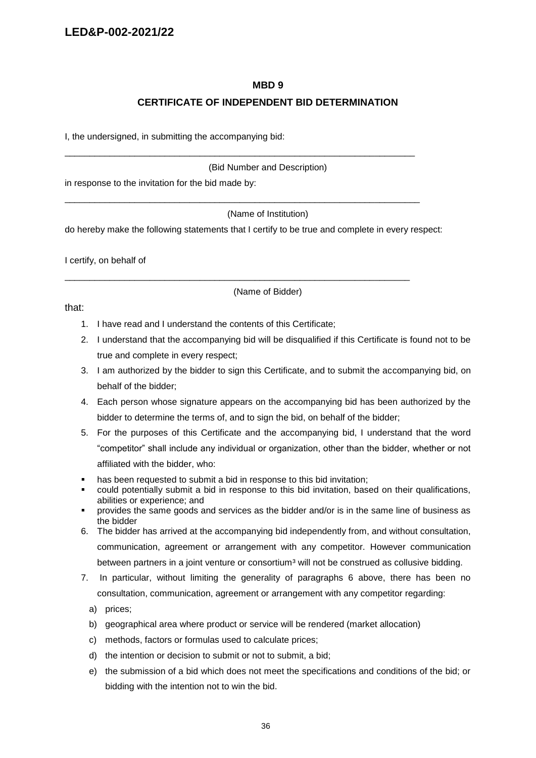## **MBD 9**

## **CERTIFICATE OF INDEPENDENT BID DETERMINATION**

I, the undersigned, in submitting the accompanying bid:

(Bid Number and Description)

in response to the invitation for the bid made by:

(Name of Institution)

do hereby make the following statements that I certify to be true and complete in every respect:

\_\_\_\_\_\_\_\_\_\_\_\_\_\_\_\_\_\_\_\_\_\_\_\_\_\_\_\_\_\_\_\_\_\_\_\_\_\_\_\_\_\_\_\_\_\_\_\_\_\_\_\_\_\_\_\_\_\_\_\_\_\_\_\_\_\_\_\_\_\_

\_\_\_\_\_\_\_\_\_\_\_\_\_\_\_\_\_\_\_\_\_\_\_\_\_\_\_\_\_\_\_\_\_\_\_\_\_\_\_\_\_\_\_\_\_\_\_\_\_\_\_\_\_\_\_\_\_\_\_\_\_\_\_\_\_\_\_\_\_\_\_

\_\_\_\_\_\_\_\_\_\_\_\_\_\_\_\_\_\_\_\_\_\_\_\_\_\_\_\_\_\_\_\_\_\_\_\_\_\_\_\_\_\_\_\_\_\_\_\_\_\_\_\_\_\_\_\_\_\_\_\_\_\_\_\_\_\_\_\_\_

I certify, on behalf of

(Name of Bidder)

that:

- 1. I have read and I understand the contents of this Certificate;
- 2. I understand that the accompanying bid will be disqualified if this Certificate is found not to be true and complete in every respect;
- 3. I am authorized by the bidder to sign this Certificate, and to submit the accompanying bid, on behalf of the bidder;
- 4. Each person whose signature appears on the accompanying bid has been authorized by the bidder to determine the terms of, and to sign the bid, on behalf of the bidder;
- 5. For the purposes of this Certificate and the accompanying bid, I understand that the word "competitor" shall include any individual or organization, other than the bidder, whether or not affiliated with the bidder, who:
- has been requested to submit a bid in response to this bid invitation;
- could potentially submit a bid in response to this bid invitation, based on their qualifications, abilities or experience; and
- provides the same goods and services as the bidder and/or is in the same line of business as the bidder
- 6. The bidder has arrived at the accompanying bid independently from, and without consultation, communication, agreement or arrangement with any competitor. However communication between partners in a joint venture or consortium<sup>3</sup> will not be construed as collusive bidding.
- 7. In particular, without limiting the generality of paragraphs 6 above, there has been no consultation, communication, agreement or arrangement with any competitor regarding:
	- a) prices;
	- b) geographical area where product or service will be rendered (market allocation)
	- c) methods, factors or formulas used to calculate prices;
	- d) the intention or decision to submit or not to submit, a bid;
	- e) the submission of a bid which does not meet the specifications and conditions of the bid; or bidding with the intention not to win the bid.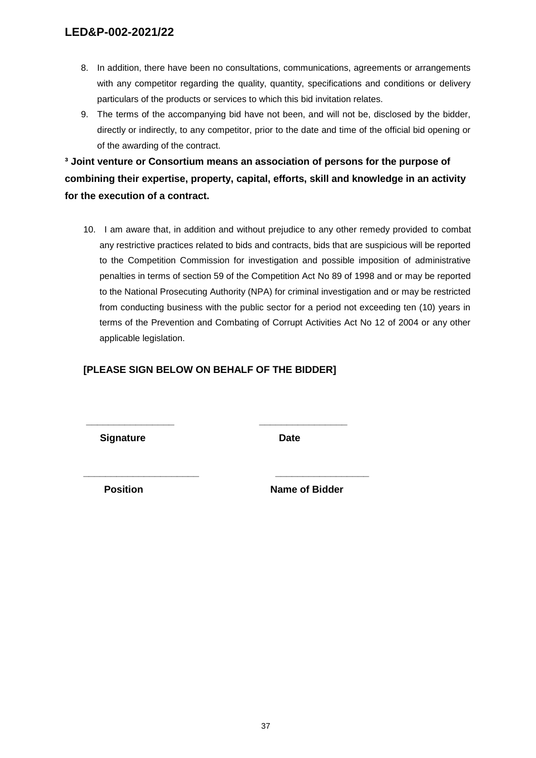- 8. In addition, there have been no consultations, communications, agreements or arrangements with any competitor regarding the quality, quantity, specifications and conditions or delivery particulars of the products or services to which this bid invitation relates.
- 9. The terms of the accompanying bid have not been, and will not be, disclosed by the bidder, directly or indirectly, to any competitor, prior to the date and time of the official bid opening or of the awarding of the contract.

**³ Joint venture or Consortium means an association of persons for the purpose of combining their expertise, property, capital, efforts, skill and knowledge in an activity for the execution of a contract.**

10. I am aware that, in addition and without prejudice to any other remedy provided to combat any restrictive practices related to bids and contracts, bids that are suspicious will be reported to the Competition Commission for investigation and possible imposition of administrative penalties in terms of section 59 of the Competition Act No 89 of 1998 and or may be reported to the National Prosecuting Authority (NPA) for criminal investigation and or may be restricted from conducting business with the public sector for a period not exceeding ten (10) years in terms of the Prevention and Combating of Corrupt Activities Act No 12 of 2004 or any other applicable legislation.

## **[PLEASE SIGN BELOW ON BEHALF OF THE BIDDER]**

**\_\_\_\_\_\_\_\_\_\_\_\_\_\_\_\_ \_\_\_\_\_\_\_\_\_\_\_\_\_\_\_\_**

**\_\_\_\_\_\_\_\_\_\_\_\_\_\_\_\_\_\_\_\_\_ \_\_\_\_\_\_\_\_\_\_\_\_\_\_\_\_\_**

**Signature Date** 

**Position Name of Bidder**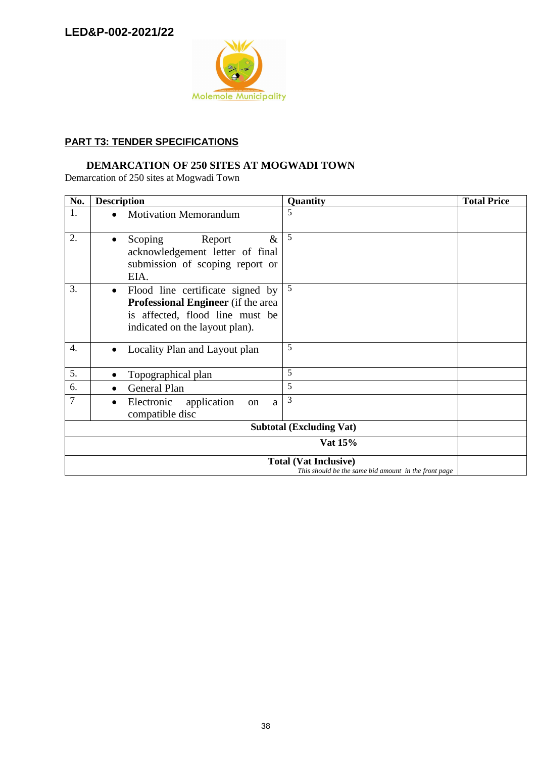

## **PART T3: TENDER SPECIFICATIONS**

# **DEMARCATION OF 250 SITES AT MOGWADI TOWN**

Demarcation of 250 sites at Mogwadi Town

| No.                                                                                  | <b>Description</b>                                                                                                                                              | Quantity | <b>Total Price</b> |  |
|--------------------------------------------------------------------------------------|-----------------------------------------------------------------------------------------------------------------------------------------------------------------|----------|--------------------|--|
| 1.                                                                                   | <b>Motivation Memorandum</b>                                                                                                                                    | 5        |                    |  |
| 2.                                                                                   | $\&$<br>Scoping<br>Report<br>acknowledgement letter of final<br>submission of scoping report or<br>EIA.                                                         | 5        |                    |  |
| 3.                                                                                   | Flood line certificate signed by<br>$\bullet$<br><b>Professional Engineer</b> (if the area<br>is affected, flood line must be<br>indicated on the layout plan). | 5        |                    |  |
| 4.                                                                                   | Locality Plan and Layout plan                                                                                                                                   | 5        |                    |  |
| 5.                                                                                   | Topographical plan                                                                                                                                              | 5        |                    |  |
| 6.                                                                                   | <b>General Plan</b>                                                                                                                                             | 5        |                    |  |
| $\overline{7}$                                                                       | application<br>Electronic<br>a<br>on<br>$\bullet$<br>compatible disc                                                                                            | 3        |                    |  |
| <b>Subtotal (Excluding Vat)</b>                                                      |                                                                                                                                                                 |          |                    |  |
|                                                                                      |                                                                                                                                                                 | Vat 15%  |                    |  |
| <b>Total (Vat Inclusive)</b><br>This should be the same bid amount in the front page |                                                                                                                                                                 |          |                    |  |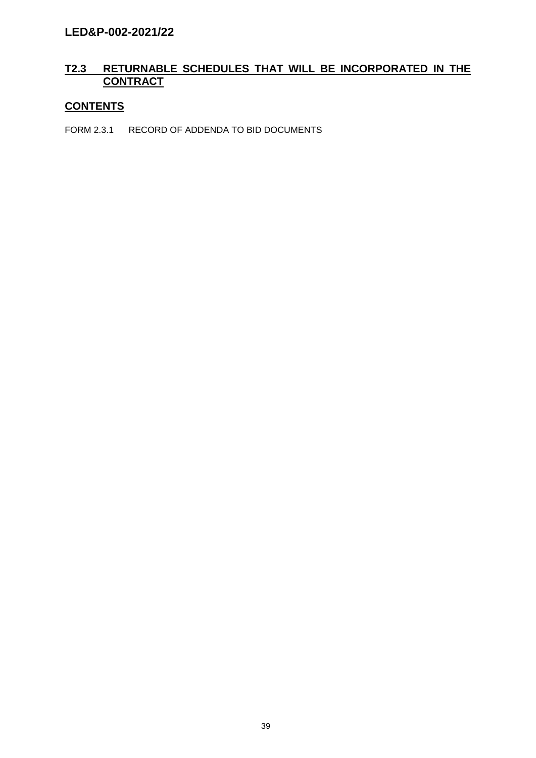## **T2.3 RETURNABLE SCHEDULES THAT WILL BE INCORPORATED IN THE CONTRACT**

# **CONTENTS**

FORM 2.3.1 RECORD OF ADDENDA TO BID DOCUMENTS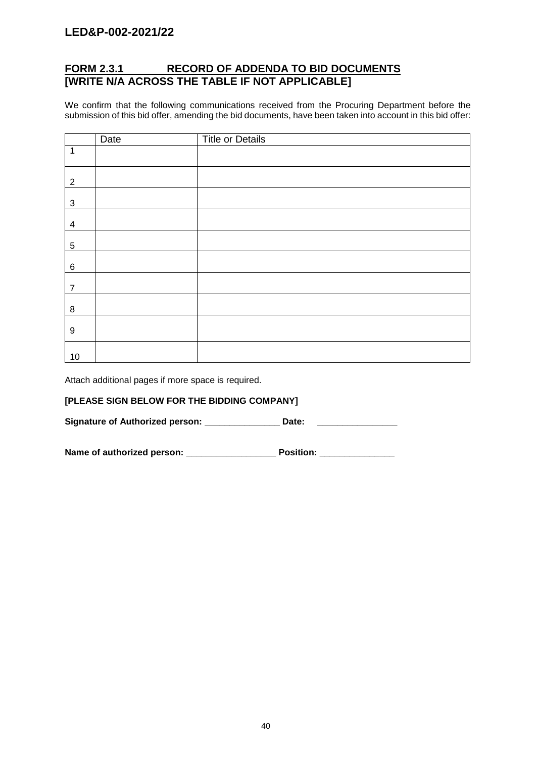## **FORM 2.3.1 RECORD OF ADDENDA TO BID DOCUMENTS [WRITE N/A ACROSS THE TABLE IF NOT APPLICABLE]**

We confirm that the following communications received from the Procuring Department before the submission of this bid offer, amending the bid documents, have been taken into account in this bid offer:

|                  | Date | <b>Title or Details</b> |
|------------------|------|-------------------------|
| $\mathbf 1$      |      |                         |
| $\overline{2}$   |      |                         |
| $\mathfrak{S}$   |      |                         |
| 4                |      |                         |
| 5                |      |                         |
| $\,6\,$          |      |                         |
| $\overline{7}$   |      |                         |
| $\,8\,$          |      |                         |
| $\boldsymbol{9}$ |      |                         |
| $10$             |      |                         |

Attach additional pages if more space is required.

## **[PLEASE SIGN BELOW FOR THE BIDDING COMPANY]**

Signature of Authorized person: \_\_\_\_\_\_\_\_\_\_\_\_\_\_\_\_\_\_ Date:

Name of authorized person: \_\_\_\_\_\_\_\_\_\_\_\_\_\_\_\_\_\_\_\_\_\_\_\_\_ Position: \_\_\_\_\_\_\_\_\_\_\_\_\_\_\_\_\_\_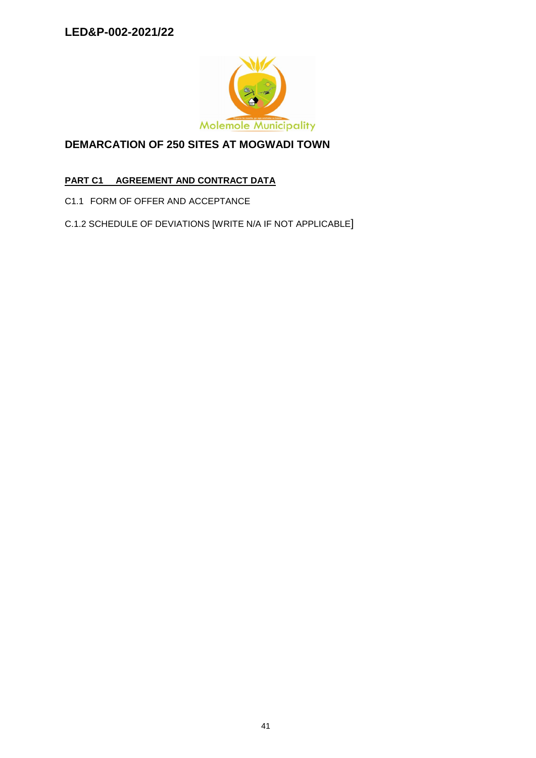

# **DEMARCATION OF 250 SITES AT MOGWADI TOWN**

# **PART C1 AGREEMENT AND CONTRACT DATA**

C1.1 FORM OF OFFER AND ACCEPTANCE

C.1.2 SCHEDULE OF DEVIATIONS [WRITE N/A IF NOT APPLICABLE]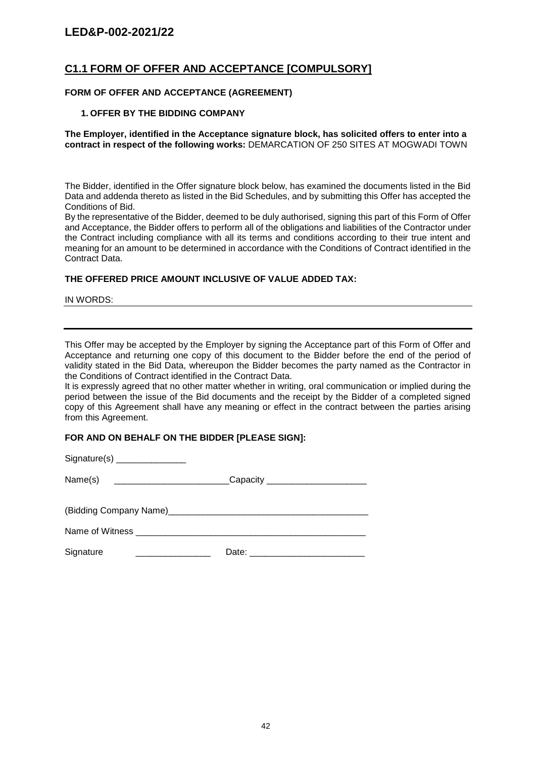## **C1.1 FORM OF OFFER AND ACCEPTANCE [COMPULSORY]**

## **FORM OF OFFER AND ACCEPTANCE (AGREEMENT)**

## **1. OFFER BY THE BIDDING COMPANY**

## **The Employer, identified in the Acceptance signature block, has solicited offers to enter into a contract in respect of the following works:** DEMARCATION OF 250 SITES AT MOGWADI TOWN

The Bidder, identified in the Offer signature block below, has examined the documents listed in the Bid Data and addenda thereto as listed in the Bid Schedules, and by submitting this Offer has accepted the Conditions of Bid.

By the representative of the Bidder, deemed to be duly authorised, signing this part of this Form of Offer and Acceptance, the Bidder offers to perform all of the obligations and liabilities of the Contractor under the Contract including compliance with all its terms and conditions according to their true intent and meaning for an amount to be determined in accordance with the Conditions of Contract identified in the Contract Data.

## **THE OFFERED PRICE AMOUNT INCLUSIVE OF VALUE ADDED TAX:**

IN WORDS:

This Offer may be accepted by the Employer by signing the Acceptance part of this Form of Offer and Acceptance and returning one copy of this document to the Bidder before the end of the period of validity stated in the Bid Data, whereupon the Bidder becomes the party named as the Contractor in the Conditions of Contract identified in the Contract Data.

It is expressly agreed that no other matter whether in writing, oral communication or implied during the period between the issue of the Bid documents and the receipt by the Bidder of a completed signed copy of this Agreement shall have any meaning or effect in the contract between the parties arising from this Agreement.

## **FOR AND ON BEHALF ON THE BIDDER [PLEASE SIGN]:**

| Name(s) ________________________________Capacity _________________________ |  |
|----------------------------------------------------------------------------|--|
|                                                                            |  |
|                                                                            |  |
|                                                                            |  |
| Signature                                                                  |  |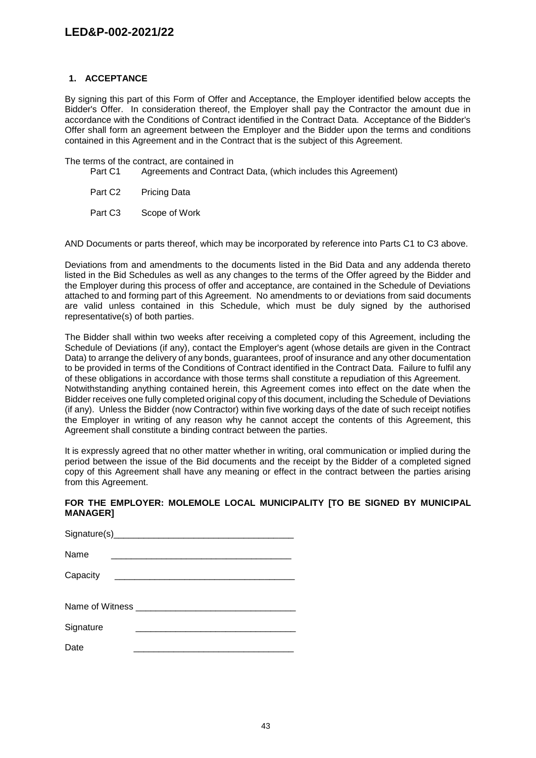## **1. ACCEPTANCE**

By signing this part of this Form of Offer and Acceptance, the Employer identified below accepts the Bidder's Offer. In consideration thereof, the Employer shall pay the Contractor the amount due in accordance with the Conditions of Contract identified in the Contract Data. Acceptance of the Bidder's Offer shall form an agreement between the Employer and the Bidder upon the terms and conditions contained in this Agreement and in the Contract that is the subject of this Agreement.

The terms of the contract, are contained in

- Part C1 Agreements and Contract Data, (which includes this Agreement)
- Part C<sub>2</sub> Pricing Data
- Part C3 Scope of Work

AND Documents or parts thereof, which may be incorporated by reference into Parts C1 to C3 above.

Deviations from and amendments to the documents listed in the Bid Data and any addenda thereto listed in the Bid Schedules as well as any changes to the terms of the Offer agreed by the Bidder and the Employer during this process of offer and acceptance, are contained in the Schedule of Deviations attached to and forming part of this Agreement. No amendments to or deviations from said documents are valid unless contained in this Schedule, which must be duly signed by the authorised representative(s) of both parties.

The Bidder shall within two weeks after receiving a completed copy of this Agreement, including the Schedule of Deviations (if any), contact the Employer's agent (whose details are given in the Contract Data) to arrange the delivery of any bonds, guarantees, proof of insurance and any other documentation to be provided in terms of the Conditions of Contract identified in the Contract Data. Failure to fulfil any of these obligations in accordance with those terms shall constitute a repudiation of this Agreement. Notwithstanding anything contained herein, this Agreement comes into effect on the date when the Bidder receives one fully completed original copy of this document, including the Schedule of Deviations (if any). Unless the Bidder (now Contractor) within five working days of the date of such receipt notifies the Employer in writing of any reason why he cannot accept the contents of this Agreement, this Agreement shall constitute a binding contract between the parties.

It is expressly agreed that no other matter whether in writing, oral communication or implied during the period between the issue of the Bid documents and the receipt by the Bidder of a completed signed copy of this Agreement shall have any meaning or effect in the contract between the parties arising from this Agreement.

## **FOR THE EMPLOYER: MOLEMOLE LOCAL MUNICIPALITY [TO BE SIGNED BY MUNICIPAL MANAGER]**

| Name      |  |
|-----------|--|
| Capacity  |  |
|           |  |
| Signature |  |
| Date      |  |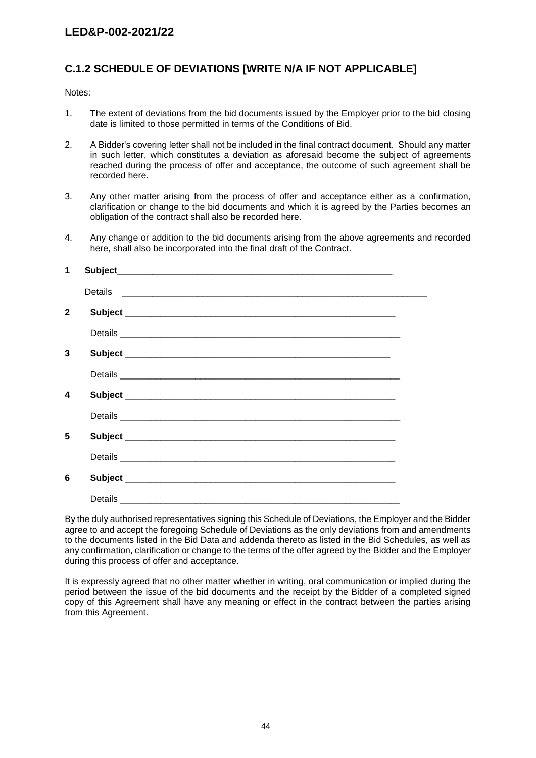# **C.1.2 SCHEDULE OF DEVIATIONS [WRITE N/A IF NOT APPLICABLE]**

Notes:

- 1. The extent of deviations from the bid documents issued by the Employer prior to the bid closing date is limited to those permitted in terms of the Conditions of Bid.
- 2. A Bidder's covering letter shall not be included in the final contract document. Should any matter in such letter, which constitutes a deviation as aforesaid become the subject of agreements reached during the process of offer and acceptance, the outcome of such agreement shall be recorded here.
- 3. Any other matter arising from the process of offer and acceptance either as a confirmation, clarification or change to the bid documents and which it is agreed by the Parties becomes an obligation of the contract shall also be recorded here.
- 4. Any change or addition to the bid documents arising from the above agreements and recorded here, shall also be incorporated into the final draft of the Contract.

| 1            |  |
|--------------|--|
|              |  |
| $\mathbf{2}$ |  |
|              |  |
| 3            |  |
|              |  |
| 4            |  |
|              |  |
| 5            |  |
|              |  |
| 6            |  |
|              |  |

By the duly authorised representatives signing this Schedule of Deviations, the Employer and the Bidder agree to and accept the foregoing Schedule of Deviations as the only deviations from and amendments to the documents listed in the Bid Data and addenda thereto as listed in the Bid Schedules, as well as any confirmation, clarification or change to the terms of the offer agreed by the Bidder and the Employer during this process of offer and acceptance.

It is expressly agreed that no other matter whether in writing, oral communication or implied during the period between the issue of the bid documents and the receipt by the Bidder of a completed signed copy of this Agreement shall have any meaning or effect in the contract between the parties arising from this Agreement.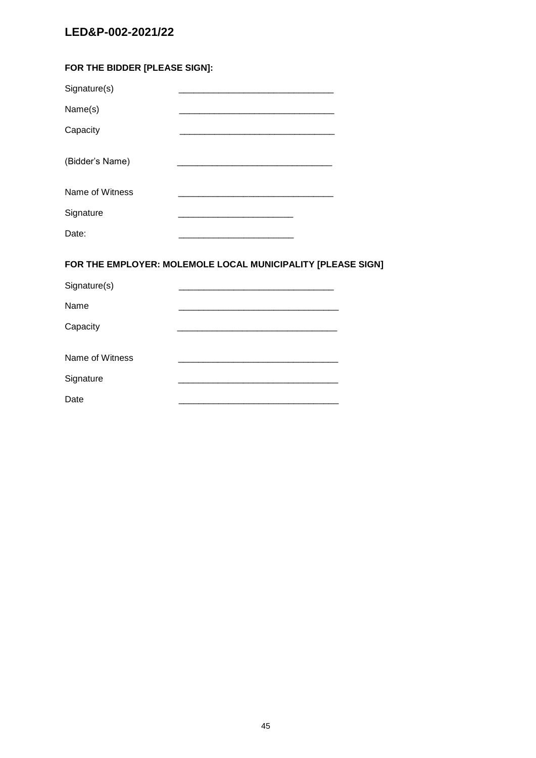| FOR THE BIDDER [PLEASE SIGN]: |                                                                  |  |
|-------------------------------|------------------------------------------------------------------|--|
| Signature(s)                  |                                                                  |  |
| Name(s)                       |                                                                  |  |
| Capacity                      |                                                                  |  |
| (Bidder's Name)               |                                                                  |  |
| Name of Witness               | <u> 1980 - Jan James James Barnett, fransk politik (d. 1980)</u> |  |
| Signature                     | <u> 1980 - Johann Barn, mars an t-Amerikaansk komponister (</u>  |  |
| Date:                         |                                                                  |  |
|                               | FOR THE EMPLOYER: MOLEMOLE LOCAL MUNICIPALITY [PLEASE SIGN]      |  |
| Signature(s)                  |                                                                  |  |
| Name                          |                                                                  |  |
| Capacity                      |                                                                  |  |
| Name of Witness               |                                                                  |  |
| Signature                     |                                                                  |  |
| Date                          |                                                                  |  |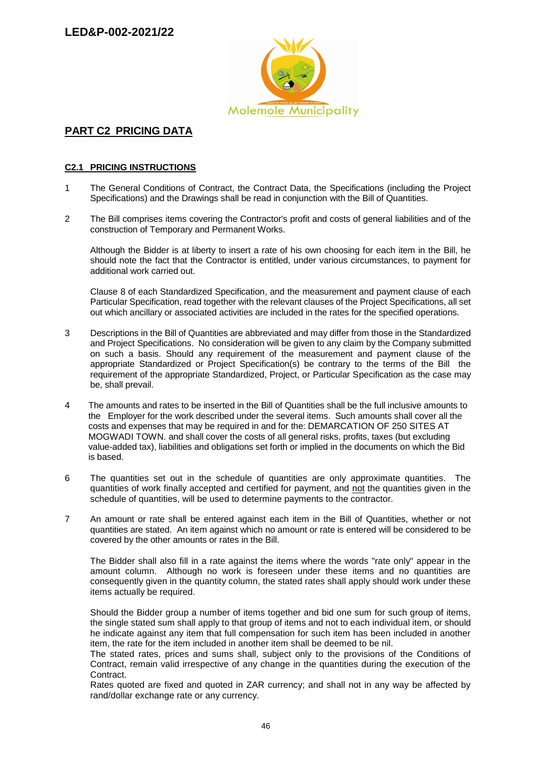

# **PART C2 PRICING DATA**

## **C2.1 PRICING INSTRUCTIONS**

- 1 The General Conditions of Contract, the Contract Data, the Specifications (including the Project Specifications) and the Drawings shall be read in conjunction with the Bill of Quantities.
- 2 The Bill comprises items covering the Contractor's profit and costs of general liabilities and of the construction of Temporary and Permanent Works.

Although the Bidder is at liberty to insert a rate of his own choosing for each item in the Bill, he should note the fact that the Contractor is entitled, under various circumstances, to payment for additional work carried out.

Clause 8 of each Standardized Specification, and the measurement and payment clause of each Particular Specification, read together with the relevant clauses of the Project Specifications, all set out which ancillary or associated activities are included in the rates for the specified operations.

- 3 Descriptions in the Bill of Quantities are abbreviated and may differ from those in the Standardized and Project Specifications. No consideration will be given to any claim by the Company submitted on such a basis. Should any requirement of the measurement and payment clause of the appropriate Standardized or Project Specification(s) be contrary to the terms of the Bill the requirement of the appropriate Standardized, Project, or Particular Specification as the case may be, shall prevail.
- 4 The amounts and rates to be inserted in the Bill of Quantities shall be the full inclusive amounts to the Employer for the work described under the several items. Such amounts shall cover all the costs and expenses that may be required in and for the: DEMARCATION OF 250 SITES AT MOGWADI TOWN. and shall cover the costs of all general risks, profits, taxes (but excluding value-added tax), liabilities and obligations set forth or implied in the documents on which the Bid is based.
- 6 The quantities set out in the schedule of quantities are only approximate quantities. The quantities of work finally accepted and certified for payment, and not the quantities given in the schedule of quantities, will be used to determine payments to the contractor.
- 7 An amount or rate shall be entered against each item in the Bill of Quantities, whether or not quantities are stated. An item against which no amount or rate is entered will be considered to be covered by the other amounts or rates in the Bill.

The Bidder shall also fill in a rate against the items where the words "rate only" appear in the amount column. Although no work is foreseen under these items and no quantities are consequently given in the quantity column, the stated rates shall apply should work under these items actually be required.

Should the Bidder group a number of items together and bid one sum for such group of items, the single stated sum shall apply to that group of items and not to each individual item, or should he indicate against any item that full compensation for such item has been included in another item, the rate for the item included in another item shall be deemed to be nil.

The stated rates, prices and sums shall, subject only to the provisions of the Conditions of Contract, remain valid irrespective of any change in the quantities during the execution of the Contract.

Rates quoted are fixed and quoted in ZAR currency; and shall not in any way be affected by rand/dollar exchange rate or any currency.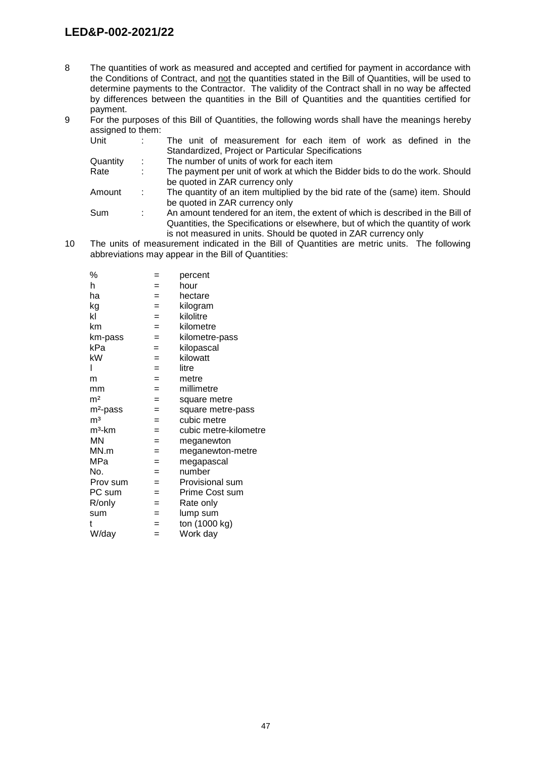- 8 The quantities of work as measured and accepted and certified for payment in accordance with the Conditions of Contract, and not the quantities stated in the Bill of Quantities, will be used to determine payments to the Contractor. The validity of the Contract shall in no way be affected by differences between the quantities in the Bill of Quantities and the quantities certified for payment.
- 9 For the purposes of this Bill of Quantities, the following words shall have the meanings hereby assigned to them:

| Unit                                                                                       |    | The unit of measurement for each item of work as defined in the                 |  |  |  |  |  |
|--------------------------------------------------------------------------------------------|----|---------------------------------------------------------------------------------|--|--|--|--|--|
|                                                                                            |    | Standardized, Project or Particular Specifications                              |  |  |  |  |  |
| Quantity                                                                                   | ÷. | The number of units of work for each item                                       |  |  |  |  |  |
| Rate<br>The payment per unit of work at which the Bidder bids to do the work. Should<br>÷. |    |                                                                                 |  |  |  |  |  |
|                                                                                            |    | be quoted in ZAR currency only                                                  |  |  |  |  |  |
| Amount                                                                                     | ÷. | The quantity of an item multiplied by the bid rate of the (same) item. Should   |  |  |  |  |  |
|                                                                                            |    | be quoted in ZAR currency only                                                  |  |  |  |  |  |
| Sum                                                                                        | ÷. | An amount tendered for an item, the extent of which is described in the Bill of |  |  |  |  |  |
|                                                                                            |    | Quantities, the Specifications or elsewhere, but of which the quantity of work  |  |  |  |  |  |
|                                                                                            |    |                                                                                 |  |  |  |  |  |

is not measured in units. Should be quoted in ZAR currency only 10 The units of measurement indicated in the Bill of Quantities are metric units. The following abbreviations may appear in the Bill of Quantities:

| %                    | =   | percent               |
|----------------------|-----|-----------------------|
| h                    | $=$ | hour                  |
| ha                   | $=$ | hectare               |
| kg                   | $=$ | kilogram              |
| kl                   | $=$ | kilolitre             |
| km                   | $=$ | kilometre             |
| km-pass              | $=$ | kilometre-pass        |
| kPa                  | $=$ | kilopascal            |
| kW                   | $=$ | kilowatt              |
| I                    | $=$ | litre                 |
| m                    | $=$ | metre                 |
| mm                   | $=$ | millimetre            |
| m <sup>2</sup>       | $=$ | square metre          |
| m <sup>2</sup> -pass | =   | square metre-pass     |
| m <sup>3</sup>       | $=$ | cubic metre           |
| m <sup>3</sup> -km   | $=$ | cubic metre-kilometre |
| ΜN                   | $=$ | meganewton            |
| MN.m                 | $=$ | meganewton-metre      |
| MPa                  | $=$ | megapascal            |
| No.                  | $=$ | number                |
| Prov sum             | $=$ | Provisional sum       |
| PC sum               | $=$ | Prime Cost sum        |
| R/only               | $=$ | Rate only             |
| sum                  | $=$ | lump sum              |
| t                    | $=$ | ton (1000 kg)         |
| W/day                | $=$ | Work day              |
|                      |     |                       |